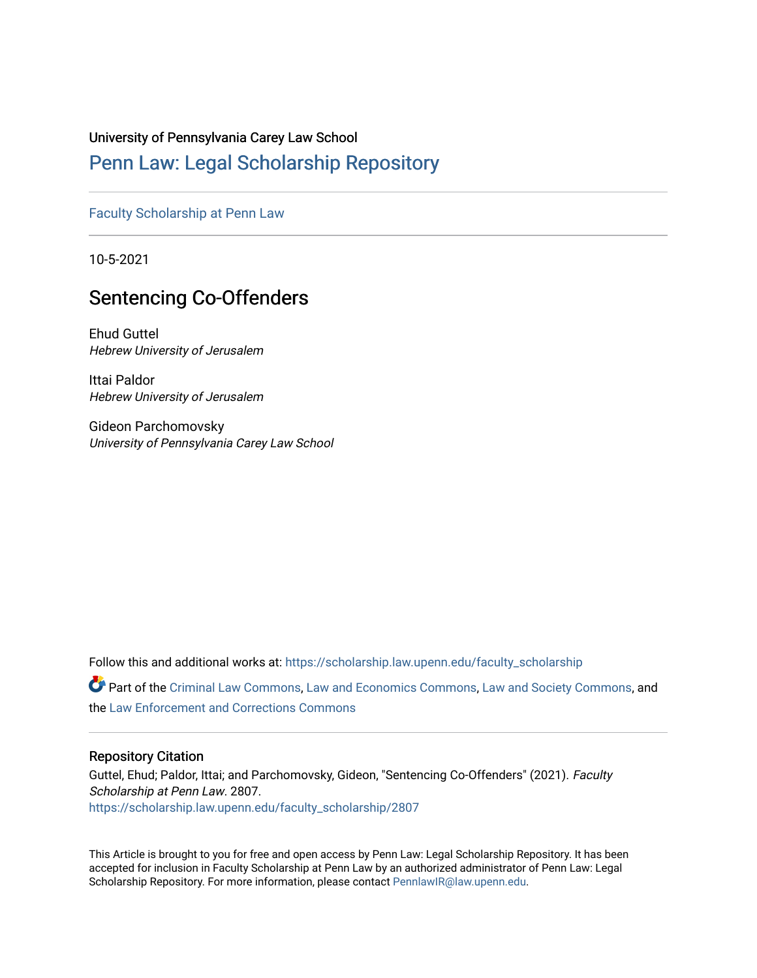# University of Pennsylvania Carey Law School

# [Penn Law: Legal Scholarship Repository](https://scholarship.law.upenn.edu/)

[Faculty Scholarship at Penn Law](https://scholarship.law.upenn.edu/faculty_scholarship)

10-5-2021

# Sentencing Co-Offenders

Ehud Guttel Hebrew University of Jerusalem

Ittai Paldor Hebrew University of Jerusalem

Gideon Parchomovsky University of Pennsylvania Carey Law School

Follow this and additional works at: [https://scholarship.law.upenn.edu/faculty\\_scholarship](https://scholarship.law.upenn.edu/faculty_scholarship?utm_source=scholarship.law.upenn.edu%2Ffaculty_scholarship%2F2807&utm_medium=PDF&utm_campaign=PDFCoverPages) 

Part of the [Criminal Law Commons,](http://network.bepress.com/hgg/discipline/912?utm_source=scholarship.law.upenn.edu%2Ffaculty_scholarship%2F2807&utm_medium=PDF&utm_campaign=PDFCoverPages) [Law and Economics Commons,](http://network.bepress.com/hgg/discipline/612?utm_source=scholarship.law.upenn.edu%2Ffaculty_scholarship%2F2807&utm_medium=PDF&utm_campaign=PDFCoverPages) [Law and Society Commons](http://network.bepress.com/hgg/discipline/853?utm_source=scholarship.law.upenn.edu%2Ffaculty_scholarship%2F2807&utm_medium=PDF&utm_campaign=PDFCoverPages), and the [Law Enforcement and Corrections Commons](http://network.bepress.com/hgg/discipline/854?utm_source=scholarship.law.upenn.edu%2Ffaculty_scholarship%2F2807&utm_medium=PDF&utm_campaign=PDFCoverPages) 

# Repository Citation

Guttel, Ehud; Paldor, Ittai; and Parchomovsky, Gideon, "Sentencing Co-Offenders" (2021). Faculty Scholarship at Penn Law. 2807. [https://scholarship.law.upenn.edu/faculty\\_scholarship/2807](https://scholarship.law.upenn.edu/faculty_scholarship/2807?utm_source=scholarship.law.upenn.edu%2Ffaculty_scholarship%2F2807&utm_medium=PDF&utm_campaign=PDFCoverPages)

This Article is brought to you for free and open access by Penn Law: Legal Scholarship Repository. It has been accepted for inclusion in Faculty Scholarship at Penn Law by an authorized administrator of Penn Law: Legal Scholarship Repository. For more information, please contact [PennlawIR@law.upenn.edu.](mailto:PennlawIR@law.upenn.edu)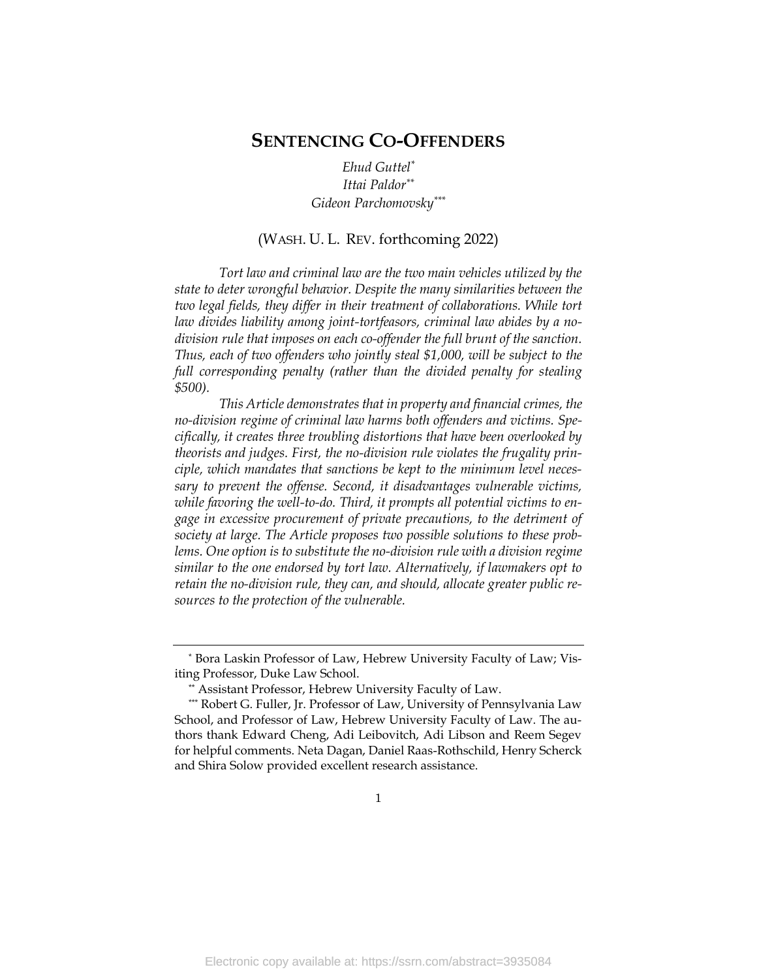# **SENTENCING CO-OFFENDERS**

*Ehud Guttel\* Ittai Paldor\*\* Gideon Parchomovsky\*\*\**

## (WASH. U. L. REV. forthcoming 2022)

*Tort law and criminal law are the two main vehicles utilized by the state to deter wrongful behavior. Despite the many similarities between the two legal fields, they differ in their treatment of collaborations. While tort law divides liability among joint-tortfeasors, criminal law abides by a nodivision rule that imposes on each co-offender the full brunt of the sanction. Thus, each of two offenders who jointly steal \$1,000, will be subject to the full corresponding penalty (rather than the divided penalty for stealing \$500).* 

*This Article demonstrates that in property and financial crimes, the no-division regime of criminal law harms both offenders and victims. Specifically, it creates three troubling distortions that have been overlooked by theorists and judges. First, the no-division rule violates the frugality principle, which mandates that sanctions be kept to the minimum level necessary to prevent the offense. Second, it disadvantages vulnerable victims, while favoring the well-to-do. Third, it prompts all potential victims to engage in excessive procurement of private precautions, to the detriment of society at large. The Article proposes two possible solutions to these prob*lems. One option is to substitute the no-division rule with a division regime *similar to the one endorsed by tort law. Alternatively, if lawmakers opt to retain the no-division rule, they can, and should, allocate greater public resources to the protection of the vulnerable.* 

<sup>\*</sup> Bora Laskin Professor of Law, Hebrew University Faculty of Law; Visiting Professor, Duke Law School.

<sup>\*\*</sup> Assistant Professor, Hebrew University Faculty of Law.

<sup>\*\*\*</sup> Robert G. Fuller, Jr. Professor of Law, University of Pennsylvania Law School, and Professor of Law, Hebrew University Faculty of Law. The authors thank Edward Cheng, Adi Leibovitch, Adi Libson and Reem Segev for helpful comments. Neta Dagan, Daniel Raas-Rothschild, Henry Scherck and Shira Solow provided excellent research assistance.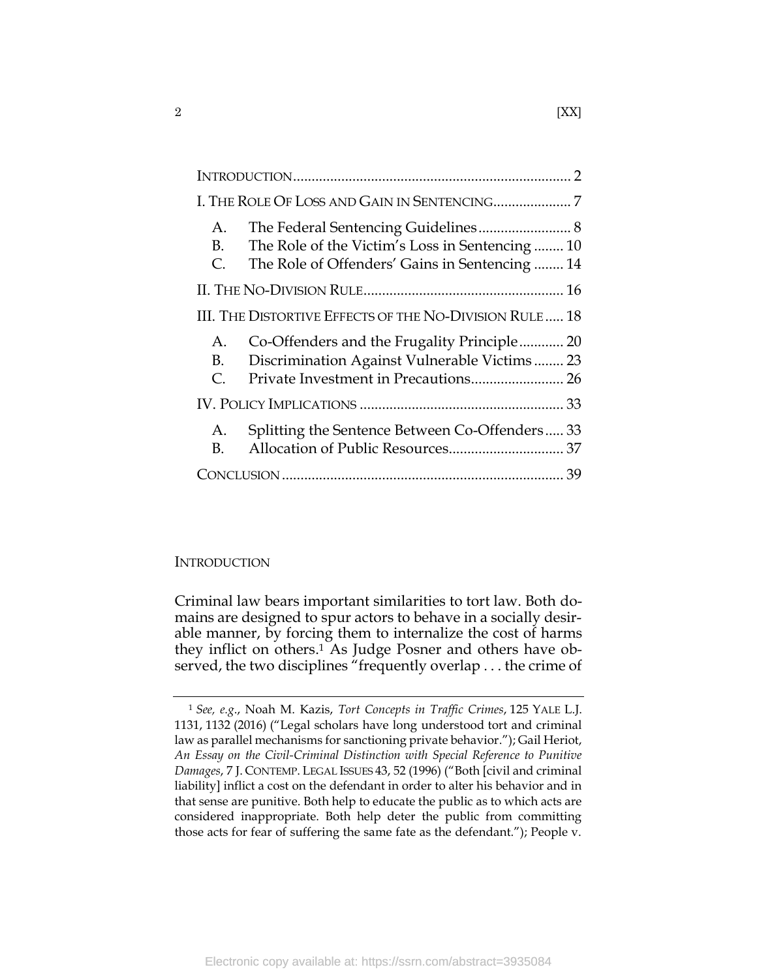| A.<br>B.<br>C.                                         | The Role of the Victim's Loss in Sentencing10<br>The Role of Offenders' Gains in Sentencing  14 |  |  |  |
|--------------------------------------------------------|-------------------------------------------------------------------------------------------------|--|--|--|
|                                                        |                                                                                                 |  |  |  |
| III. THE DISTORTIVE EFFECTS OF THE NO-DIVISION RULE 18 |                                                                                                 |  |  |  |
| A.<br>B.<br>$\mathcal{C}$ .                            | Co-Offenders and the Frugality Principle 20<br>Discrimination Against Vulnerable Victims 23     |  |  |  |
|                                                        |                                                                                                 |  |  |  |
| A.<br>В.                                               | Splitting the Sentence Between Co-Offenders33                                                   |  |  |  |
|                                                        |                                                                                                 |  |  |  |

# <span id="page-2-0"></span>**INTRODUCTION**

Criminal law bears important similarities to tort law. Both domains are designed to spur actors to behave in a socially desirable manner, by forcing them to internalize the cost of harms they inflict on others. <sup>1</sup> As Judge Posner and others have observed, the two disciplines "frequently overlap . . . the crime of

<sup>1</sup> *See, e.g*., Noah M. Kazis, *Tort Concepts in Traffic Crimes*, 125 YALE L.J. 1131, 1132 (2016) ("Legal scholars have long understood tort and criminal law as parallel mechanisms for sanctioning private behavior."); Gail Heriot, *An Essay on the Civil-Criminal Distinction with Special Reference to Punitive Damages*, 7 J. CONTEMP. LEGAL ISSUES 43, 52 (1996) ("Both [civil and criminal liability] inflict a cost on the defendant in order to alter his behavior and in that sense are punitive. Both help to educate the public as to which acts are considered inappropriate. Both help deter the public from committing those acts for fear of suffering the same fate as the defendant."); People v.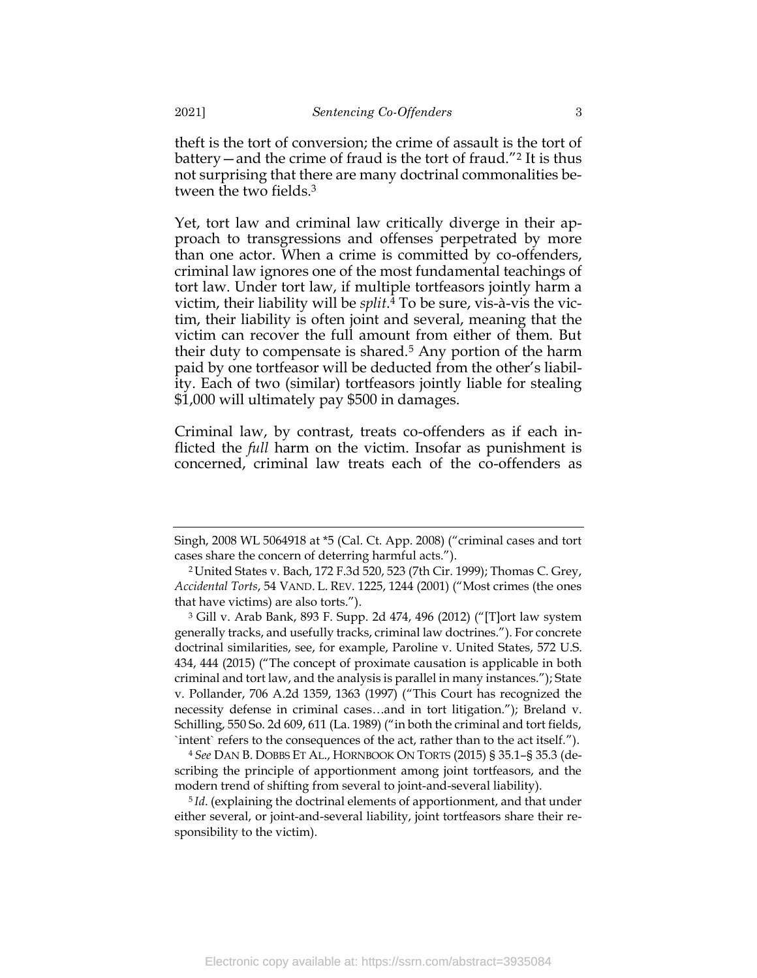theft is the tort of conversion; the crime of assault is the tort of battery—and the crime of fraud is the tort of fraud."<sup>2</sup> It is thus not surprising that there are many doctrinal commonalities be-

<span id="page-3-0"></span>Yet, tort law and criminal law critically diverge in their approach to transgressions and offenses perpetrated by more than one actor. When a crime is committed by co-offenders, criminal law ignores one of the most fundamental teachings of tort law. Under tort law, if multiple tortfeasors jointly harm a victim, their liability will be *split*. <sup>4</sup> To be sure, vis-à-vis the victim, their liability is often joint and several, meaning that the victim can recover the full amount from either of them. But their duty to compensate is shared.<sup>5</sup> Any portion of the harm paid by one tortfeasor will be deducted from the other's liability. Each of two (similar) tortfeasors jointly liable for stealing \$1,000 will ultimately pay \$500 in damages.

Criminal law, by contrast, treats co-offenders as if each inflicted the *full* harm on the victim. Insofar as punishment is concerned, criminal law treats each of the co-offenders as

<sup>4</sup> *See* DAN B. DOBBS ET AL., HORNBOOK ON TORTS (2015) § 35.1–§ 35.3 (describing the principle of apportionment among joint tortfeasors, and the modern trend of shifting from several to joint-and-several liability).

5 *Id*. (explaining the doctrinal elements of apportionment, and that under either several, or joint-and-several liability, joint tortfeasors share their responsibility to the victim).

tween the two fields.<sup>3</sup>

Singh, 2008 WL 5064918 at \*5 (Cal. Ct. App. 2008) ("criminal cases and tort cases share the concern of deterring harmful acts.").

<sup>2</sup> United States v. Bach, 172 F.3d 520, 523 (7th Cir. 1999); Thomas C. Grey, *Accidental Torts*, 54 VAND. L. REV. 1225, 1244 (2001) ("Most crimes (the ones that have victims) are also torts.").

<sup>3</sup> Gill v. Arab Bank, 893 F. Supp. 2d 474, 496 (2012) ("[T]ort law system generally tracks, and usefully tracks, criminal law doctrines."). For concrete doctrinal similarities, see, for example, Paroline v. United States, 572 U.S. 434, 444 (2015) ("The concept of proximate causation is applicable in both criminal and tort law, and the analysis is parallel in many instances."); State v. Pollander, 706 A.2d 1359, 1363 (1997) ("This Court has recognized the necessity defense in criminal cases…and in tort litigation."); Breland v. Schilling, 550 So. 2d 609, 611 (La. 1989) ("in both the criminal and tort fields, `intent` refers to the consequences of the act, rather than to the act itself.").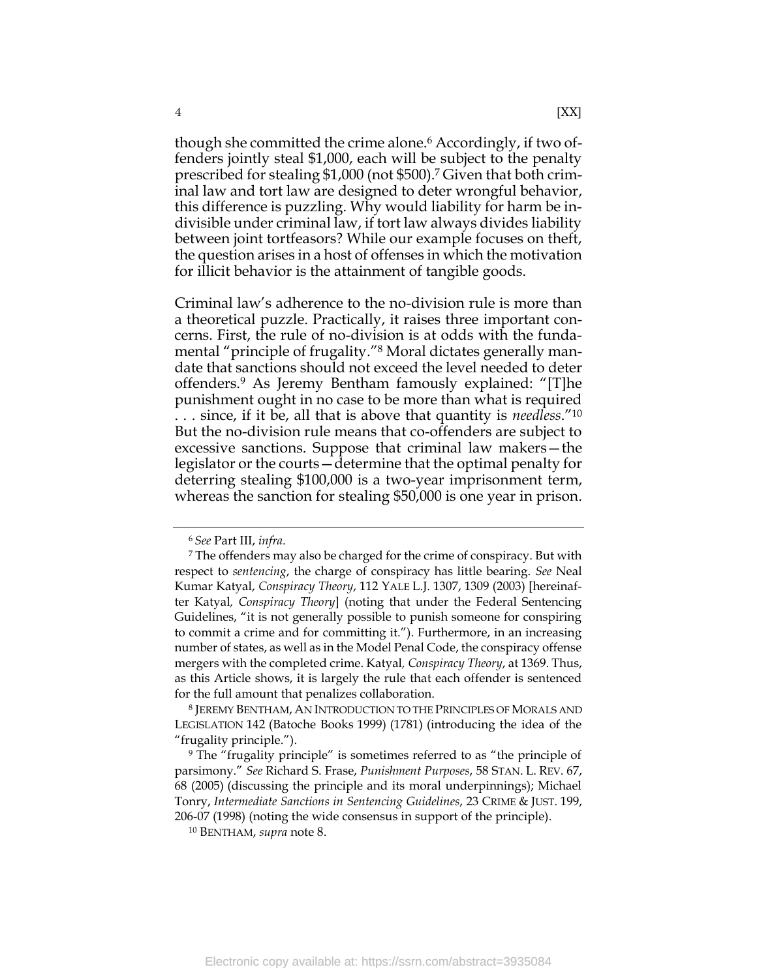though she committed the crime alone.<sup>6</sup> Accordingly, if two offenders jointly steal \$1,000, each will be subject to the penalty prescribed for stealing \$1,000 (not \$500). <sup>7</sup> Given that both criminal law and tort law are designed to deter wrongful behavior, this difference is puzzling. Why would liability for harm be indivisible under criminal law, if tort law always divides liability between joint tortfeasors? While our example focuses on theft, the question arises in a host of offenses in which the motivation for illicit behavior is the attainment of tangible goods.

<span id="page-4-0"></span>Criminal law's adherence to the no-division rule is more than a theoretical puzzle. Practically, it raises three important concerns. First, the rule of no-division is at odds with the fundamental "principle of frugality."<sup>8</sup> Moral dictates generally mandate that sanctions should not exceed the level needed to deter offenders.<sup>9</sup> As Jeremy Bentham famously explained: "[T]he punishment ought in no case to be more than what is required . . . since, if it be, all that is above that quantity is *needless*."<sup>10</sup> But the no-division rule means that co-offenders are subject to excessive sanctions. Suppose that criminal law makers—the legislator or the courts—determine that the optimal penalty for deterring stealing \$100,000 is a two-year imprisonment term, whereas the sanction for stealing \$50,000 is one year in prison.

<span id="page-4-1"></span>

<sup>6</sup> *See* Part III, *infra*.

<sup>7</sup> The offenders may also be charged for the crime of conspiracy. But with respect to *sentencing*, the charge of conspiracy has little bearing. *See* Neal Kumar Katyal, *Conspiracy Theory*, 112 YALE L.J. 1307, 1309 (2003) [hereinafter Katyal*, Conspiracy Theory*] (noting that under the Federal Sentencing Guidelines, "it is not generally possible to punish someone for conspiring to commit a crime and for committing it."). Furthermore, in an increasing number of states, as well as in the Model Penal Code, the conspiracy offense mergers with the completed crime. Katyal*, Conspiracy Theory*, at 1369. Thus, as this Article shows, it is largely the rule that each offender is sentenced for the full amount that penalizes collaboration.

<sup>8</sup> JEREMY BENTHAM, AN INTRODUCTION TO THE PRINCIPLES OF MORALS AND LEGISLATION 142 (Batoche Books 1999) (1781) (introducing the idea of the "frugality principle.").

<sup>9</sup> The "frugality principle" is sometimes referred to as "the principle of parsimony." *See* Richard S. Frase, *Punishment Purposes*, 58 STAN. L. REV. 67, 68 (2005) (discussing the principle and its moral underpinnings); Michael Tonry, *Intermediate Sanctions in Sentencing Guidelines*, 23 CRIME & JUST. 199, 206-07 (1998) (noting the wide consensus in support of the principle).

<sup>10</sup> BENTHAM, *supra* not[e 8.](#page-4-0)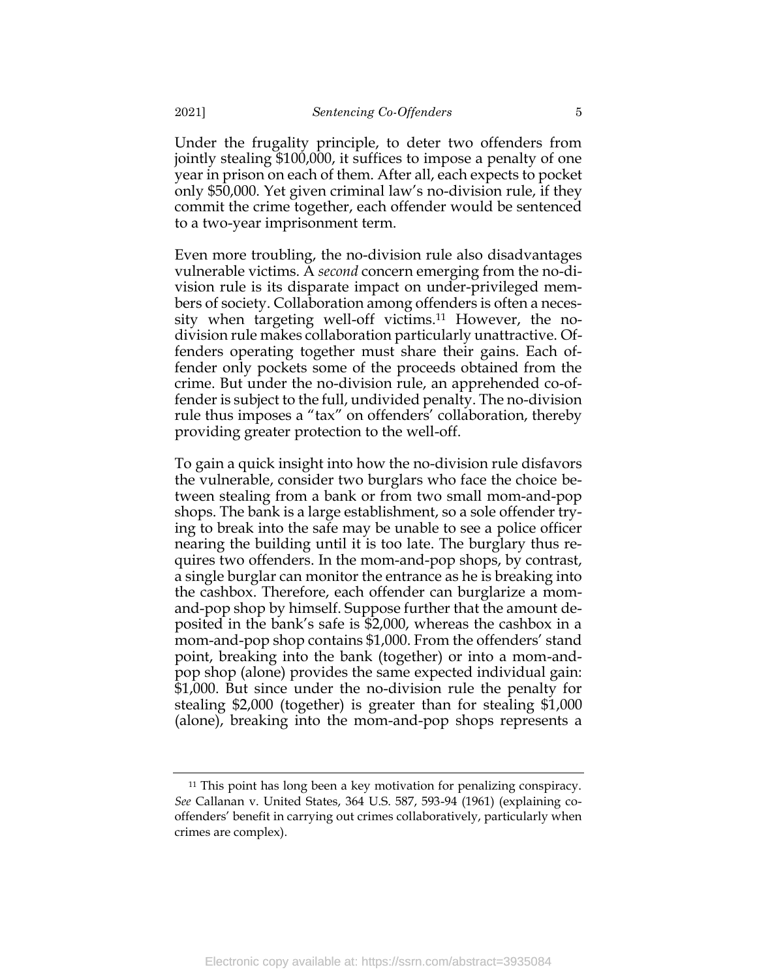Under the frugality principle, to deter two offenders from jointly stealing \$100,000, it suffices to impose a penalty of one year in prison on each of them. After all, each expects to pocket only \$50,000. Yet given criminal law's no-division rule, if they commit the crime together, each offender would be sentenced to a two-year imprisonment term.

Even more troubling, the no-division rule also disadvantages vulnerable victims. A *second* concern emerging from the no-division rule is its disparate impact on under-privileged members of society. Collaboration among offenders is often a necessity when targeting well-off victims.<sup>11</sup> However, the nodivision rule makes collaboration particularly unattractive. Offenders operating together must share their gains. Each offender only pockets some of the proceeds obtained from the crime. But under the no-division rule, an apprehended co-offender is subject to the full, undivided penalty. The no-division rule thus imposes a "tax" on offenders' collaboration, thereby providing greater protection to the well-off.

To gain a quick insight into how the no-division rule disfavors the vulnerable, consider two burglars who face the choice between stealing from a bank or from two small mom-and-pop shops. The bank is a large establishment, so a sole offender trying to break into the safe may be unable to see a police officer nearing the building until it is too late. The burglary thus requires two offenders. In the mom-and-pop shops, by contrast, a single burglar can monitor the entrance as he is breaking into the cashbox. Therefore, each offender can burglarize a momand-pop shop by himself. Suppose further that the amount deposited in the bank's safe is \$2,000, whereas the cashbox in a mom-and-pop shop contains \$1,000. From the offenders' stand point, breaking into the bank (together) or into a mom-andpop shop (alone) provides the same expected individual gain: \$1,000. But since under the no-division rule the penalty for stealing \$2,000 (together) is greater than for stealing \$1,000 (alone), breaking into the mom-and-pop shops represents a

<sup>&</sup>lt;sup>11</sup> This point has long been a key motivation for penalizing conspiracy. *See* Callanan v. United States, 364 U.S. 587, 593-94 (1961) (explaining cooffenders' benefit in carrying out crimes collaboratively, particularly when crimes are complex).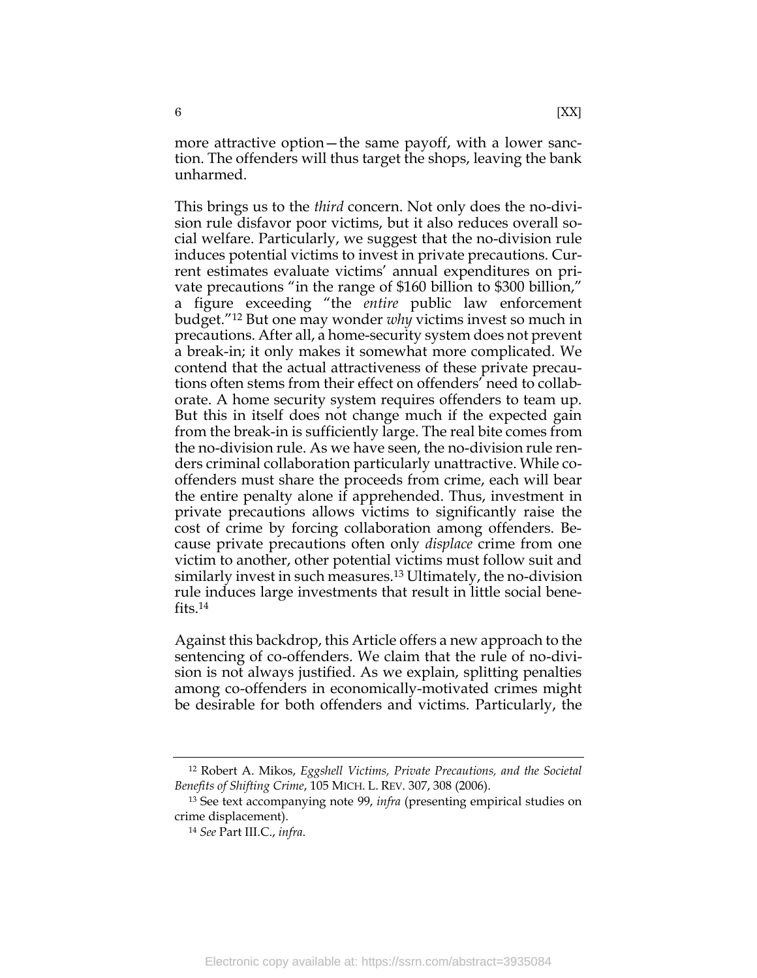more attractive option—the same payoff, with a lower sanction. The offenders will thus target the shops, leaving the bank unharmed.

This brings us to the *third* concern. Not only does the no-division rule disfavor poor victims, but it also reduces overall social welfare. Particularly, we suggest that the no-division rule induces potential victims to invest in private precautions. Current estimates evaluate victims' annual expenditures on private precautions "in the range of \$160 billion to \$300 billion," a figure exceeding "the *entire* public law enforcement budget."<sup>12</sup> But one may wonder *why* victims invest so much in precautions. After all, a home-security system does not prevent a break-in; it only makes it somewhat more complicated. We contend that the actual attractiveness of these private precautions often stems from their effect on offenders' need to collaborate. A home security system requires offenders to team up. But this in itself does not change much if the expected gain from the break-in is sufficiently large. The real bite comes from the no-division rule. As we have seen, the no-division rule renders criminal collaboration particularly unattractive. While cooffenders must share the proceeds from crime, each will bear the entire penalty alone if apprehended. Thus, investment in private precautions allows victims to significantly raise the cost of crime by forcing collaboration among offenders. Because private precautions often only *displace* crime from one victim to another, other potential victims must follow suit and similarly invest in such measures.<sup>13</sup> Ultimately, the no-division rule induces large investments that result in little social benefits. 14

Against this backdrop, this Article offers a new approach to the sentencing of co-offenders. We claim that the rule of no-division is not always justified. As we explain, splitting penalties among co-offenders in economically-motivated crimes might be desirable for both offenders and victims. Particularly, the

<sup>12</sup> Robert A. Mikos, *Eggshell Victims, Private Precautions, and the Societal Benefits of Shifting Crime*, 105 MICH. L. REV. 307, 308 (2006).

<sup>13</sup> See text accompanying note [99,](#page-27-0) *infra* (presenting empirical studies on crime displacement).

<sup>14</sup> *See* Part III.C., *infra*.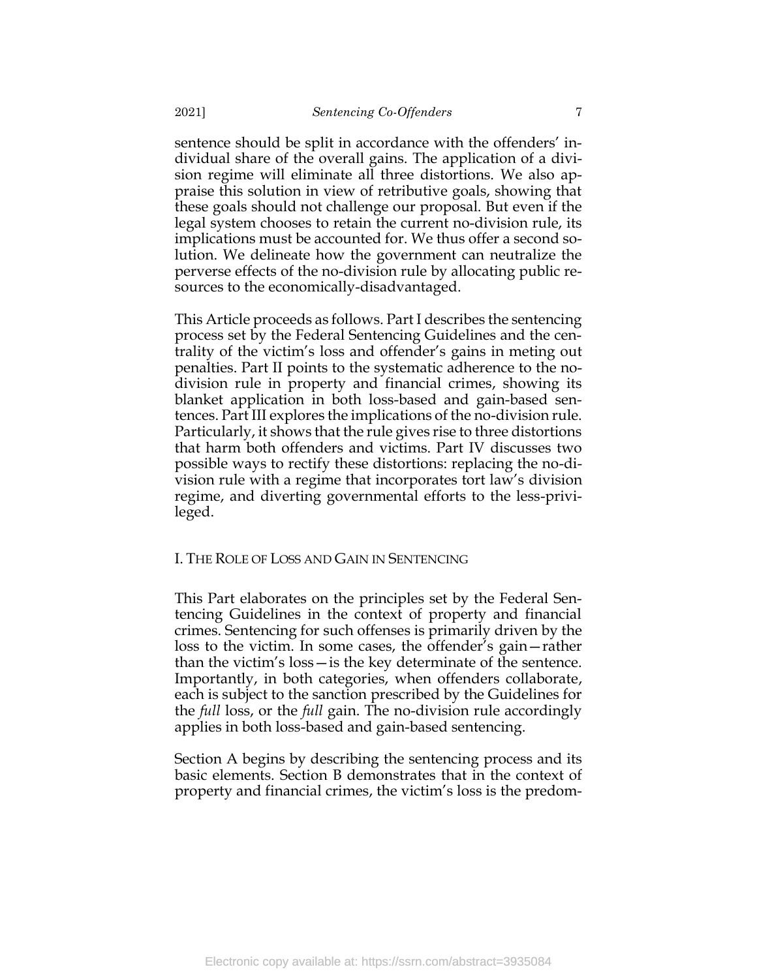sentence should be split in accordance with the offenders' individual share of the overall gains. The application of a division regime will eliminate all three distortions. We also appraise this solution in view of retributive goals, showing that these goals should not challenge our proposal. But even if the legal system chooses to retain the current no-division rule, its implications must be accounted for. We thus offer a second solution. We delineate how the government can neutralize the perverse effects of the no-division rule by allocating public resources to the economically-disadvantaged.

This Article proceeds as follows. Part I describes the sentencing process set by the Federal Sentencing Guidelines and the centrality of the victim's loss and offender's gains in meting out penalties. Part II points to the systematic adherence to the nodivision rule in property and financial crimes, showing its blanket application in both loss-based and gain-based sentences. Part III explores the implications of the no-division rule. Particularly, it shows that the rule gives rise to three distortions that harm both offenders and victims. Part IV discusses two possible ways to rectify these distortions: replacing the no-division rule with a regime that incorporates tort law's division regime, and diverting governmental efforts to the less-privileged.

# <span id="page-7-0"></span>I. THE ROLE OF LOSS AND GAIN IN SENTENCING

This Part elaborates on the principles set by the Federal Sentencing Guidelines in the context of property and financial crimes. Sentencing for such offenses is primarily driven by the loss to the victim. In some cases, the offender's gain—rather than the victim's loss—is the key determinate of the sentence. Importantly, in both categories, when offenders collaborate, each is subject to the sanction prescribed by the Guidelines for the *full* loss, or the *full* gain. The no-division rule accordingly applies in both loss-based and gain-based sentencing.

Section A begins by describing the sentencing process and its basic elements. Section B demonstrates that in the context of property and financial crimes, the victim's loss is the predom-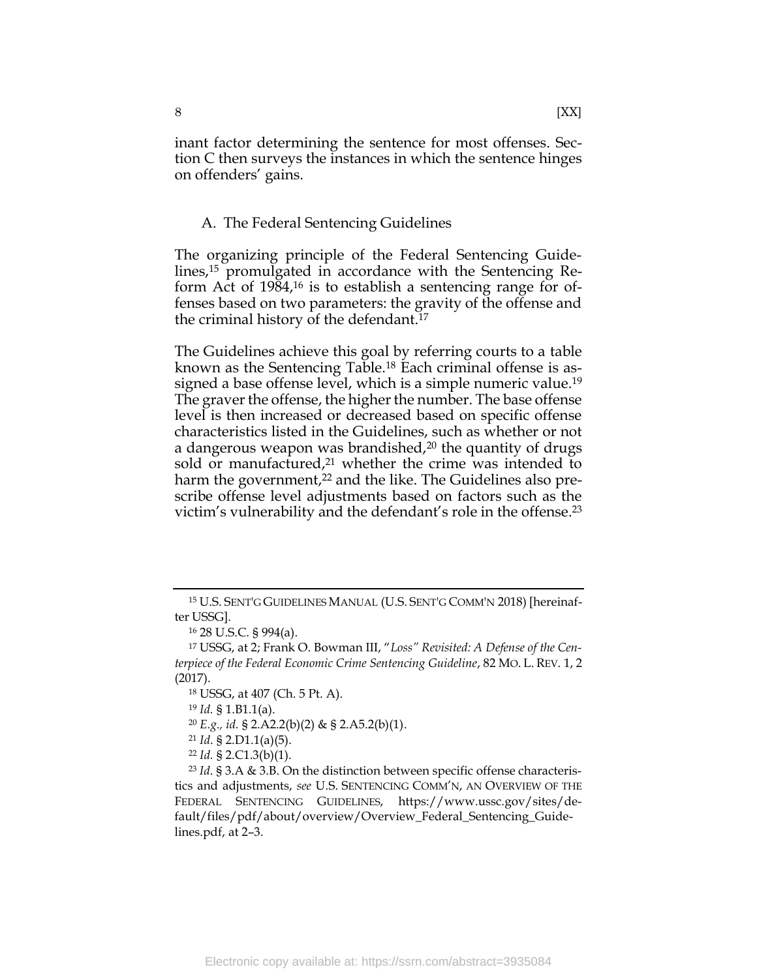inant factor determining the sentence for most offenses. Section C then surveys the instances in which the sentence hinges on offenders' gains.

# <span id="page-8-1"></span><span id="page-8-0"></span>A. The Federal Sentencing Guidelines

The organizing principle of the Federal Sentencing Guidelines,<sup>15</sup> promulgated in accordance with the Sentencing Reform Act of 1984,<sup>16</sup> is to establish a sentencing range for offenses based on two parameters: the gravity of the offense and the criminal history of the defendant.<sup>17</sup>

The Guidelines achieve this goal by referring courts to a table known as the Sentencing Table.<sup>18</sup> Each criminal offense is assigned a base offense level, which is a simple numeric value.<sup>19</sup> The graver the offense, the higher the number. The base offense level is then increased or decreased based on specific offense characteristics listed in the Guidelines, such as whether or not a dangerous weapon was brandished,<sup>20</sup> the quantity of drugs sold or manufactured, <sup>21</sup> whether the crime was intended to harm the government,<sup>22</sup> and the like. The Guidelines also prescribe offense level adjustments based on factors such as the victim's vulnerability and the defendant's role in the offense. 23

<sup>15</sup> U.S. SENT'G GUIDELINES MANUAL (U.S. SENT'G COMM'N 2018) [hereinafter USSG].

<sup>16</sup> 28 U.S.C. § 994(a).

<sup>17</sup> USSG, at 2; Frank O. Bowman III, "*Loss" Revisited: A Defense of the Centerpiece of the Federal Economic Crime Sentencing Guideline*, 82 MO. L. REV. 1, 2 (2017).

<sup>18</sup> USSG, at 407 (Ch. 5 Pt. A).

<sup>19</sup> *Id.* § 1.B1.1(a).

<sup>20</sup> *E.g., id.* § 2.A2.2(b)(2) & § 2.A5.2(b)(1).

<sup>21</sup> *Id*. § 2.D1.1(a)(5).

<sup>22</sup> *Id.* § 2.C1.3(b)(1).

<sup>23</sup> *Id*. § 3.A & 3.B. On the distinction between specific offense characteristics and adjustments, *see* U.S. SENTENCING COMM'N, AN OVERVIEW OF THE FEDERAL SENTENCING GUIDELINES, [https://www.ussc.gov/sites/de](https://www.ussc.gov/sites/default/files/pdf/about/overview/Overview_Federal_Sentencing_Guidelines.pdf)[fault/files/pdf/about/overview/Overview\\_Federal\\_Sentencing\\_Guide](https://www.ussc.gov/sites/default/files/pdf/about/overview/Overview_Federal_Sentencing_Guidelines.pdf)[lines.pdf,](https://www.ussc.gov/sites/default/files/pdf/about/overview/Overview_Federal_Sentencing_Guidelines.pdf) at 2–3.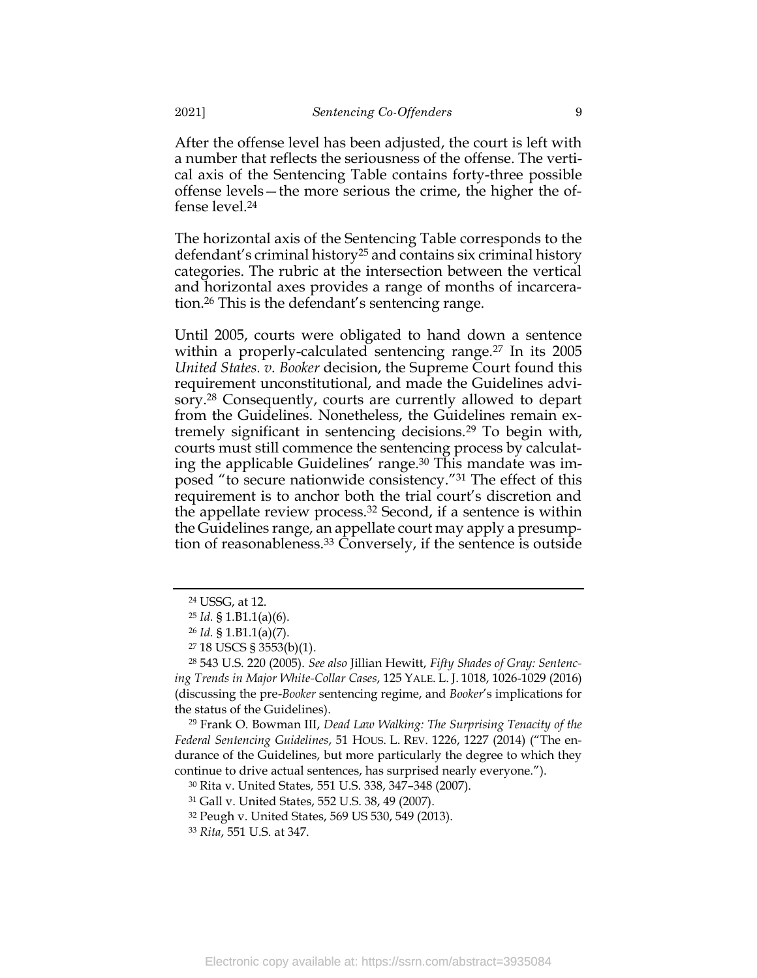After the offense level has been adjusted, the court is left with a number that reflects the seriousness of the offense. The vertical axis of the Sentencing Table contains forty-three possible offense levels—the more serious the crime, the higher the offense level.<sup>24</sup>

The horizontal axis of the Sentencing Table corresponds to the defendant's criminal history<sup>25</sup> and contains six criminal history categories. The rubric at the intersection between the vertical and horizontal axes provides a range of months of incarceration.<sup>26</sup> This is the defendant's sentencing range.

<span id="page-9-1"></span><span id="page-9-0"></span>Until 2005, courts were obligated to hand down a sentence within a properly-calculated sentencing range.<sup>27</sup> In its 2005 *United States. v. Booker* decision, the Supreme Court found this requirement unconstitutional, and made the Guidelines advisory.<sup>28</sup> Consequently, courts are currently allowed to depart from the Guidelines. Nonetheless, the Guidelines remain extremely significant in sentencing decisions.<sup>29</sup> To begin with, courts must still commence the sentencing process by calculating the applicable Guidelines' range.<sup>30</sup> This mandate was imposed "to secure nationwide consistency."<sup>31</sup> The effect of this requirement is to anchor both the trial court's discretion and the appellate review process.<sup>32</sup> Second, if a sentence is within the Guidelines range, an appellate court may apply a presumption of reasonableness.<sup>33</sup> Conversely, if the sentence is outside

<sup>29</sup> Frank O. Bowman III, *Dead Law Walking: The Surprising Tenacity of the Federal Sentencing Guidelines*, 51 HOUS. L. REV. 1226, 1227 (2014) ("The endurance of the Guidelines, but more particularly the degree to which they continue to drive actual sentences, has surprised nearly everyone.").

<sup>30</sup> Rita v. United States*,* 551 U.S. 338, 347–348 (2007).

<sup>24</sup> USSG, at 12.

<sup>25</sup> *Id.* § 1.B1.1(a)(6).

<sup>26</sup> *Id.* § 1.B1.1(a)(7).

<sup>27</sup> 18 USCS § 3553(b)(1).

<sup>28</sup> 543 U.S. 220 (2005). *See also* Jillian Hewitt, *Fifty Shades of Gray: Sentencing Trends in Major White-Collar Cases*, 125 YALE. L. J. 1018, 1026-1029 (2016) (discussing the pre-*Booker* sentencing regime, and *Booker*'s implications for the status of the Guidelines).

<sup>31</sup> Gall v. United States, 552 U.S. 38, 49 (2007).

<sup>32</sup> Peugh v. United States, 569 US 530, 549 (2013).

<sup>33</sup> *Rita*, 551 U.S. at 347.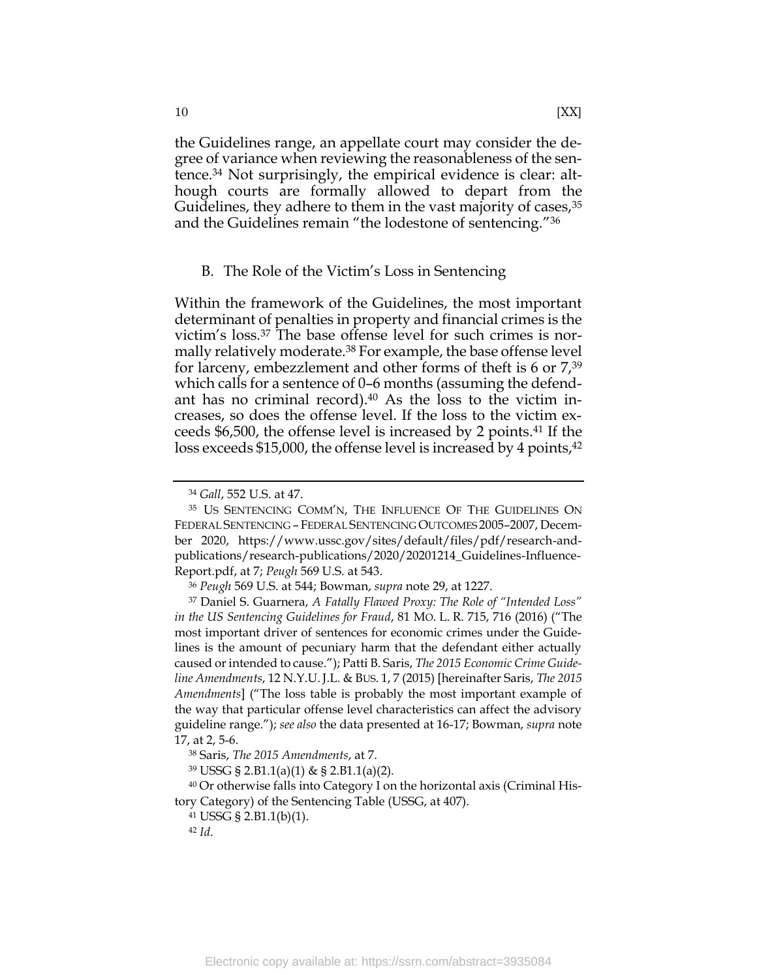the Guidelines range, an appellate court may consider the degree of variance when reviewing the reasonableness of the sentence.<sup>34</sup> Not surprisingly, the empirical evidence is clear: although courts are formally allowed to depart from the Guidelines, they adhere to them in the vast majority of cases,  $35$ and the Guidelines remain "the lodestone of sentencing."<sup>36</sup>

# <span id="page-10-1"></span><span id="page-10-0"></span>B. The Role of the Victim's Loss in Sentencing

Within the framework of the Guidelines, the most important determinant of penalties in property and financial crimes is the victim's loss.<sup>37</sup> The base offense level for such crimes is normally relatively moderate.<sup>38</sup> For example, the base offense level for larceny, embezzlement and other forms of theft is 6 or 7,<sup>39</sup> which calls for a sentence of 0–6 months (assuming the defendant has no criminal record). $40$  As the loss to the victim increases, so does the offense level. If the loss to the victim exceeds \$6,500, the offense level is increased by 2 points.<sup>41</sup> If the loss exceeds \$15,000, the offense level is increased by 4 points,<sup>42</sup>

<sup>34</sup> *Gall*, 552 U.S. at 47.

<sup>35</sup> US SENTENCING COMM'N, THE INFLUENCE OF THE GUIDELINES ON FEDERAL SENTENCING – FEDERAL SENTENCING OUTCOMES 2005–2007, December 2020, [https://www.ussc.gov/sites/default/files/pdf/research-and](https://www.ussc.gov/sites/default/files/pdf/research-and-publications/research-publications/2020/20201214_Guidelines-Influence-Report.pdf)[publications/research-publications/2020/20201214\\_Guidelines-Influence-](https://www.ussc.gov/sites/default/files/pdf/research-and-publications/research-publications/2020/20201214_Guidelines-Influence-Report.pdf)[Report.pdf,](https://www.ussc.gov/sites/default/files/pdf/research-and-publications/research-publications/2020/20201214_Guidelines-Influence-Report.pdf) at 7; *Peugh* 569 U.S. at 543.

<sup>36</sup> *Peugh* 569 U.S. at 544; Bowman, *supra* note [29,](#page-9-0) at 1227.

<sup>37</sup> Daniel S. Guarnera, *A Fatally Flawed Proxy: The Role of "Intended Loss" in the US Sentencing Guidelines for Fraud*, 81 MO. L. R. 715, 716 (2016) ("The most important driver of sentences for economic crimes under the Guidelines is the amount of pecuniary harm that the defendant either actually caused or intended to cause."); Patti B. Saris, *The 2015 Economic Crime Guideline Amendments*, 12 N.Y.U.J.L. & BUS. 1, 7 (2015) [hereinafter Saris, *The 2015 Amendments*] ("The loss table is probably the most important example of the way that particular offense level characteristics can affect the advisory guideline range."); *see also* the data presented at 16-17; Bowman, *supra* note [17,](#page-8-1) at 2, 5-6.

<sup>38</sup> Saris, *The 2015 Amendments*, at 7.

<sup>39</sup> USSG § 2.B1.1(a)(1) & § 2.B1.1(a)(2).

<sup>&</sup>lt;sup>40</sup> Or otherwise falls into Category I on the horizontal axis (Criminal History Category) of the Sentencing Table (USSG, at 407).

<sup>41</sup> USSG § 2.B1.1(b)(1).

<sup>42</sup> *Id*.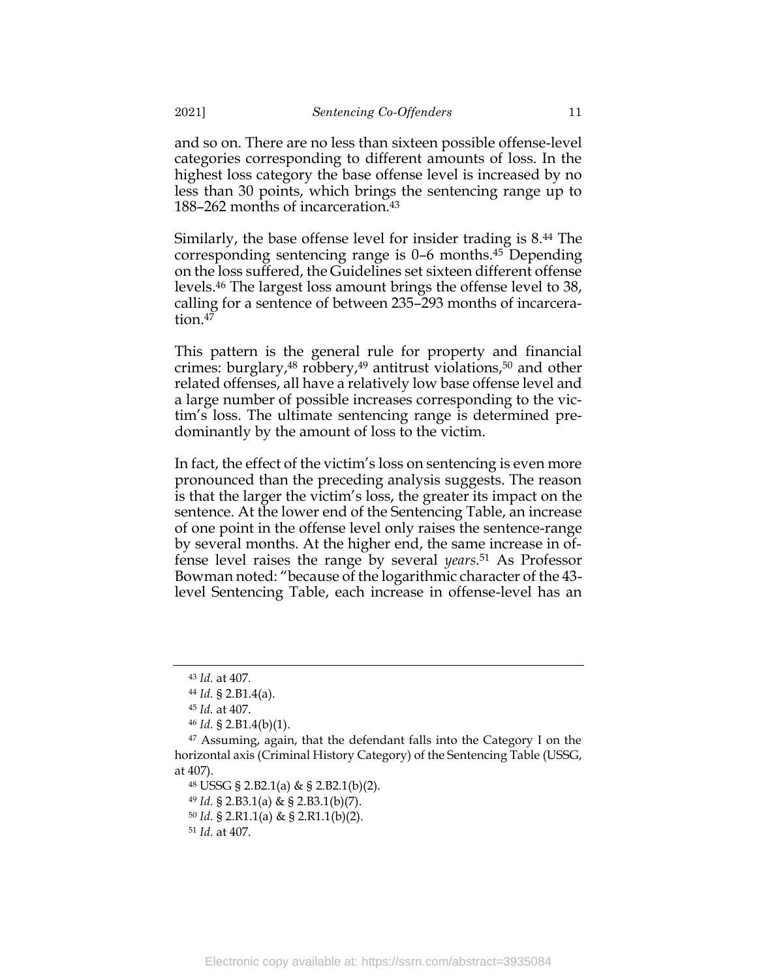and so on. There are no less than sixteen possible offense-level categories corresponding to different amounts of loss. In the highest loss category the base offense level is increased by no less than 30 points, which brings the sentencing range up to 188–262 months of incarceration.<sup>43</sup>

Similarly, the base offense level for insider trading is 8.<sup>44</sup> The corresponding sentencing range is 0–6 months.<sup>45</sup> Depending on the loss suffered, the Guidelines set sixteen different offense levels. <sup>46</sup> The largest loss amount brings the offense level to 38, calling for a sentence of between 235–293 months of incarceration.<sup>47</sup>

This pattern is the general rule for property and financial crimes: burglary, $48$  robbery, $49$  antitrust violations, $50$  and other related offenses, all have a relatively low base offense level and a large number of possible increases corresponding to the victim's loss. The ultimate sentencing range is determined predominantly by the amount of loss to the victim.

In fact, the effect of the victim's loss on sentencing is even more pronounced than the preceding analysis suggests. The reason is that the larger the victim's loss, the greater its impact on the sentence. At the lower end of the Sentencing Table, an increase of one point in the offense level only raises the sentence-range by several months. At the higher end, the same increase in offense level raises the range by several *years*. <sup>51</sup> As Professor Bowman noted: "because of the logarithmic character of the 43 level Sentencing Table, each increase in offense-level has an

<sup>51</sup> *Id.* at 407.

<sup>43</sup> *Id.* at 407*.*

<sup>44</sup> *Id.* § 2.B1.4(a).

<sup>45</sup> *Id.* at 407.

<sup>46</sup> *Id.* § 2.B1.4(b)(1).

<sup>47</sup> Assuming, again, that the defendant falls into the Category I on the horizontal axis (Criminal History Category) of the Sentencing Table (USSG, at 407).

<sup>48</sup> USSG § 2.B2.1(a) & § 2.B2.1(b)(2).

<sup>49</sup> *Id.* § 2.B3.1(a) & § 2.B3.1(b)(7).

<sup>50</sup> *Id.* § 2.R1.1(a) & § 2.R1.1(b)(2).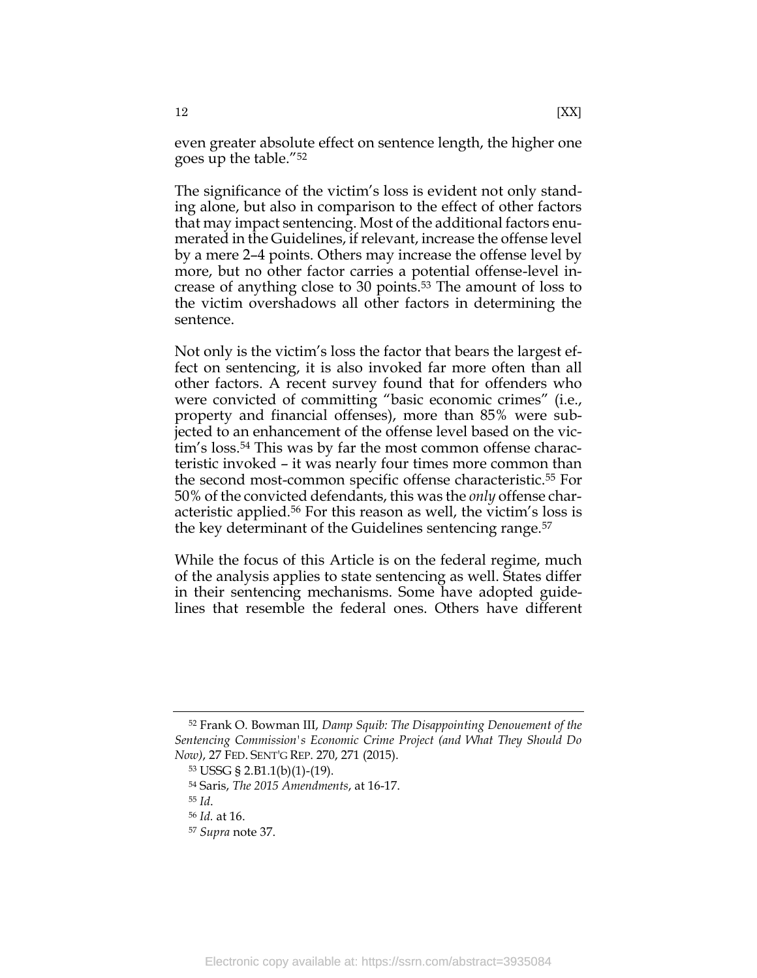even greater absolute effect on sentence length, the higher one goes up the table."<sup>52</sup>

The significance of the victim's loss is evident not only standing alone, but also in comparison to the effect of other factors that may impact sentencing. Most of the additional factors enumerated in the Guidelines, if relevant, increase the offense level by a mere 2–4 points. Others may increase the offense level by more, but no other factor carries a potential offense-level increase of anything close to 30 points.<sup>53</sup> The amount of loss to the victim overshadows all other factors in determining the sentence.

Not only is the victim's loss the factor that bears the largest effect on sentencing, it is also invoked far more often than all other factors. A recent survey found that for offenders who were convicted of committing "basic economic crimes" (i.e., property and financial offenses), more than 85% were subjected to an enhancement of the offense level based on the victim's loss. <sup>54</sup> This was by far the most common offense characteristic invoked – it was nearly four times more common than the second most-common specific offense characteristic.<sup>55</sup> For 50% of the convicted defendants, this was the *only* offense characteristic applied.<sup>56</sup> For this reason as well, the victim's loss is the key determinant of the Guidelines sentencing range.<sup>57</sup>

While the focus of this Article is on the federal regime, much of the analysis applies to state sentencing as well. States differ in their sentencing mechanisms. Some have adopted guidelines that resemble the federal ones. Others have different

<sup>52</sup> Frank O. Bowman III, *Damp Squib: The Disappointing Denouement of the Sentencing Commission's Economic Crime Project (and What They Should Do Now)*, 27 FED. SENT'G REP. 270, 271 (2015).

<sup>53</sup> USSG § 2.B1.1(b)(1)-(19).

<sup>54</sup> Saris, *The 2015 Amendments*, at 16-17.

<sup>55</sup> *Id*.

<sup>56</sup> *Id.* at 16.

<sup>57</sup> *Supra* note [37.](#page-10-1)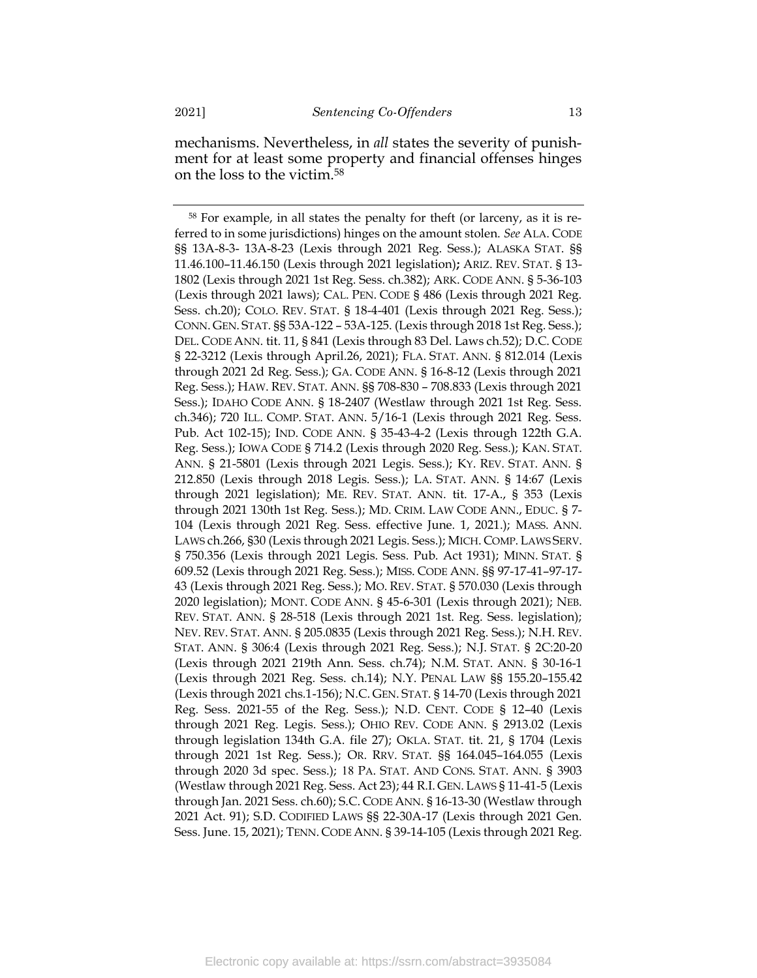mechanisms. Nevertheless, in *all* states the severity of punishment for at least some property and financial offenses hinges on the loss to the victim. 58

<sup>58</sup> For example, in all states the penalty for theft (or larceny, as it is referred to in some jurisdictions) hinges on the amount stolen. *See* ALA. CODE §§ 13A-8-3- 13A-8-23 (Lexis through 2021 Reg. Sess.); ALASKA STAT. §§ 11.46.100–11.46.150 (Lexis through 2021 legislation)**;** ARIZ. REV. STAT. § 13- 1802 (Lexis through 2021 1st Reg. Sess. ch.382); ARK. CODE ANN. § 5-36-103 (Lexis through 2021 laws); CAL. PEN. CODE § 486 (Lexis through 2021 Reg. Sess. ch.20); COLO. REV. STAT. § 18-4-401 (Lexis through 2021 Reg. Sess.); CONN. GEN. STAT. §§ 53A-122 – 53A-125. (Lexis through 2018 1st Reg. Sess.); DEL. CODE ANN. tit. 11, § 841 (Lexis through 83 Del. Laws ch.52); D.C. CODE § 22-3212 (Lexis through April.26, 2021); FLA. STAT. ANN. § 812.014 (Lexis through 2021 2d Reg. Sess.); GA. CODE ANN. § 16-8-12 (Lexis through 2021 Reg. Sess.); HAW. REV. STAT. ANN. §§ 708-830 – 708.833 (Lexis through 2021 Sess.); IDAHO CODE ANN. § 18-2407 (Westlaw through 2021 1st Reg. Sess. ch.346); 720 ILL. COMP. STAT. ANN. 5/16-1 (Lexis through 2021 Reg. Sess. Pub. Act 102-15); IND. CODE ANN. § 35-43-4-2 (Lexis through 122th G.A. Reg. Sess.); IOWA CODE § 714.2 (Lexis through 2020 Reg. Sess.); KAN. STAT. ANN. § 21-5801 (Lexis through 2021 Legis. Sess.); KY. REV. STAT. ANN. § 212.850 (Lexis through 2018 Legis. Sess.); LA. STAT. ANN. § 14:67 (Lexis through 2021 legislation); ME. REV. STAT. ANN. tit. 17-A., § 353 (Lexis through 2021 130th 1st Reg. Sess.); MD. CRIM. LAW CODE ANN., EDUC. § 7- 104 (Lexis through 2021 Reg. Sess. effective June. 1, 2021.); MASS. ANN. LAWS ch.266, §30 (Lexis through 2021 Legis. Sess.); MICH. COMP. LAWS SERV. § 750.356 (Lexis through 2021 Legis. Sess. Pub. Act 1931); MINN. STAT. § 609.52 (Lexis through 2021 Reg. Sess.); MISS. CODE ANN. §§ 97-17-41–97-17- 43 (Lexis through 2021 Reg. Sess.); MO. REV. STAT. § 570.030 (Lexis through 2020 legislation); MONT. CODE ANN. § 45-6-301 (Lexis through 2021); NEB. REV. STAT. ANN. § 28-518 (Lexis through 2021 1st. Reg. Sess. legislation); NEV. REV. STAT. ANN. § 205.0835 (Lexis through 2021 Reg. Sess.); N.H. REV. STAT. ANN. § 306:4 (Lexis through 2021 Reg. Sess.); N.J. STAT. § 2C:20-20 (Lexis through 2021 219th Ann. Sess. ch.74); N.M. STAT. ANN. § 30-16-1 (Lexis through 2021 Reg. Sess. ch.14); N.Y. PENAL LAW §§ 155.20–155.42 (Lexis through 2021 chs.1-156); N.C. GEN. STAT. § 14-70 (Lexis through 2021 Reg. Sess. 2021-55 of the Reg. Sess.); N.D. CENT. CODE § 12–40 (Lexis through 2021 Reg. Legis. Sess.); OHIO REV. CODE ANN. § 2913.02 (Lexis through legislation 134th G.A. file 27); OKLA. STAT. tit. 21, § 1704 (Lexis through 2021 1st Reg. Sess.); OR. RRV. STAT. §§ 164.045–164.055 (Lexis through 2020 3d spec. Sess.); 18 PA. STAT. AND CONS. STAT. ANN. § 3903 (Westlaw through 2021 Reg. Sess. Act 23); 44 R.I. GEN. LAWS § 11-41-5 (Lexis through Jan. 2021 Sess. ch.60); S.C. CODE ANN. § 16-13-30 (Westlaw through 2021 Act. 91); S.D. CODIFIED LAWS §§ 22-30A-17 (Lexis through 2021 Gen. Sess. June. 15, 2021); TENN. CODE ANN. § 39-14-105 (Lexis through 2021 Reg.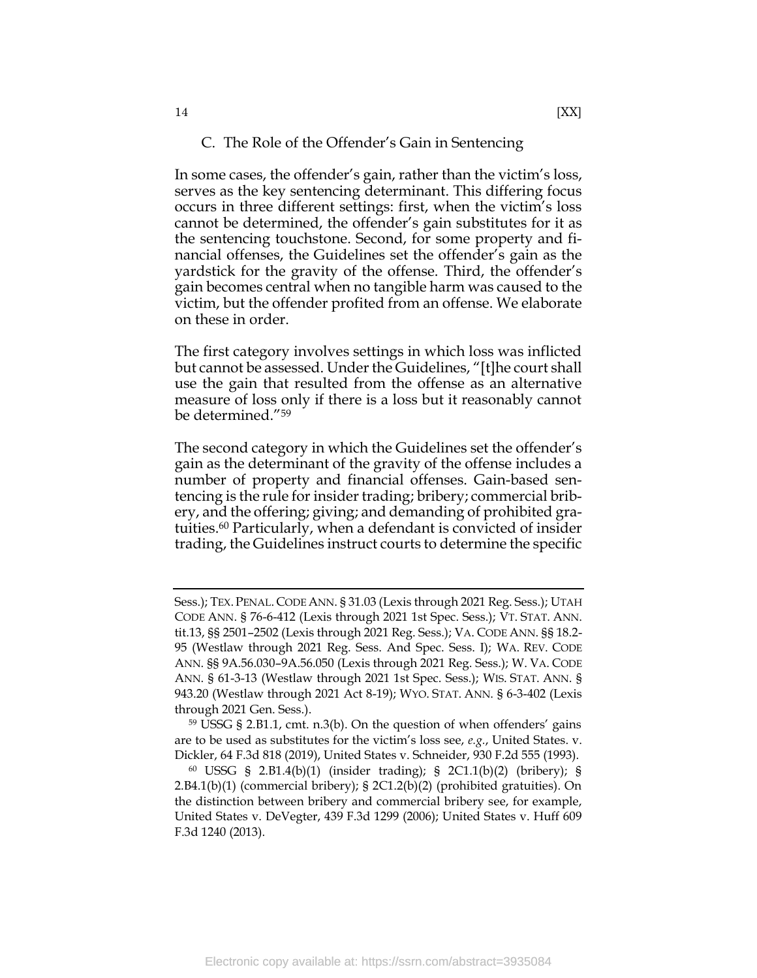### <span id="page-14-0"></span>C. The Role of the Offender's Gain in Sentencing

In some cases, the offender's gain, rather than the victim's loss, serves as the key sentencing determinant. This differing focus occurs in three different settings: first, when the victim's loss cannot be determined, the offender's gain substitutes for it as the sentencing touchstone. Second, for some property and financial offenses, the Guidelines set the offender's gain as the yardstick for the gravity of the offense. Third, the offender's gain becomes central when no tangible harm was caused to the victim, but the offender profited from an offense. We elaborate on these in order.

The first category involves settings in which loss was inflicted but cannot be assessed. Under the Guidelines, "[t]he court shall use the gain that resulted from the offense as an alternative measure of loss only if there is a loss but it reasonably cannot be determined."<sup>59</sup>

<span id="page-14-1"></span>The second category in which the Guidelines set the offender's gain as the determinant of the gravity of the offense includes a number of property and financial offenses. Gain-based sentencing is the rule for insider trading; bribery; commercial bribery, and the offering; giving; and demanding of prohibited gratuities. <sup>60</sup> Particularly, when a defendant is convicted of insider trading, the Guidelines instruct courts to determine the specific

Sess.); TEX. PENAL. CODE ANN. § 31.03 (Lexis through 2021 Reg. Sess.); UTAH CODE ANN. § 76-6-412 (Lexis through 2021 1st Spec. Sess.); VT. STAT. ANN. tit.13, §§ 2501–2502 (Lexis through 2021 Reg. Sess.); VA. CODE ANN. §§ 18.2- 95 (Westlaw through 2021 Reg. Sess. And Spec. Sess. I); WA. REV. CODE ANN. §§ 9A.56.030–9A.56.050 (Lexis through 2021 Reg. Sess.); W. VA. CODE ANN. § 61-3-13 (Westlaw through 2021 1st Spec. Sess.); WIS. STAT. ANN. § 943.20 (Westlaw through 2021 Act 8-19); WYO. STAT. ANN. § 6-3-402 (Lexis through 2021 Gen. Sess.).

<sup>59</sup> USSG § 2.B1.1, cmt. n.3(b). On the question of when offenders' gains are to be used as substitutes for the victim's loss see, *e.g.*, United States. v. Dickler, 64 F.3d 818 (2019), United States v. Schneider, 930 F.2d 555 (1993).

<sup>60</sup> USSG § 2.B1.4(b)(1) (insider trading); § 2C1.1(b)(2) (bribery); § 2.B4.1(b)(1) (commercial bribery); § 2C1.2(b)(2) (prohibited gratuities). On the distinction between bribery and commercial bribery see, for example, United States v. DeVegter, 439 F.3d 1299 (2006); United States v. Huff 609 F.3d 1240 (2013).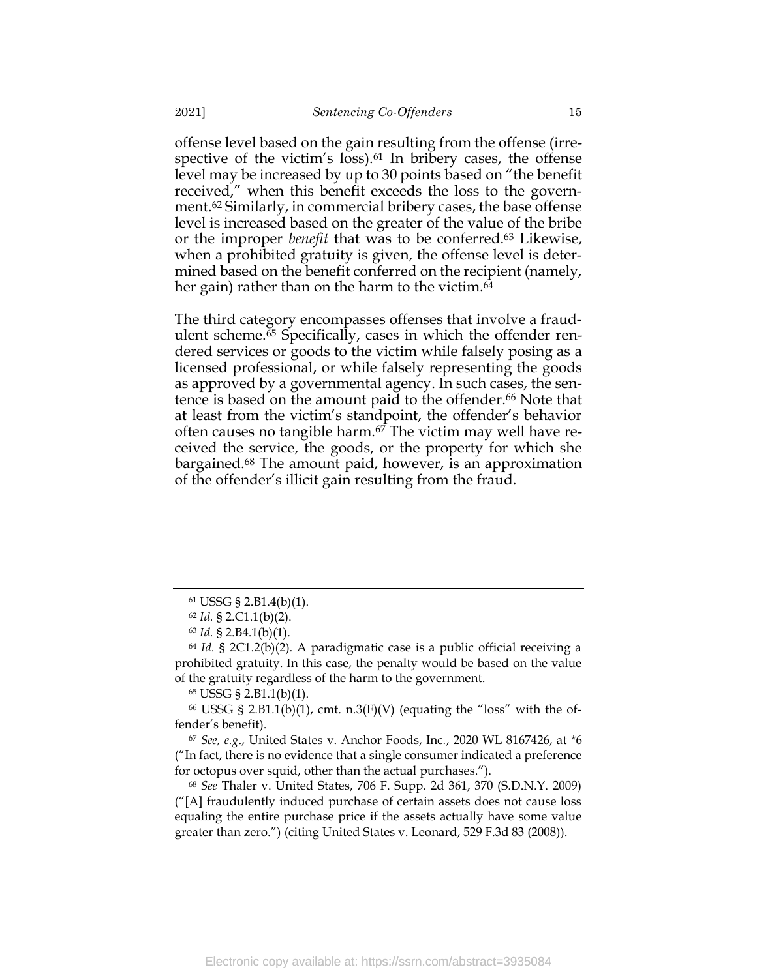offense level based on the gain resulting from the offense (irrespective of the victim's loss). <sup>61</sup> In bribery cases, the offense level may be increased by up to 30 points based on "the benefit received," when this benefit exceeds the loss to the government. <sup>62</sup> Similarly, in commercial bribery cases, the base offense level is increased based on the greater of the value of the bribe or the improper *benefit* that was to be conferred.<sup>63</sup> Likewise, when a prohibited gratuity is given, the offense level is determined based on the benefit conferred on the recipient (namely, her gain) rather than on the harm to the victim. 64

<span id="page-15-3"></span><span id="page-15-2"></span><span id="page-15-1"></span><span id="page-15-0"></span>The third category encompasses offenses that involve a fraudulent scheme.<sup>65</sup> Specifically, cases in which the offender rendered services or goods to the victim while falsely posing as a licensed professional, or while falsely representing the goods as approved by a governmental agency. In such cases, the sentence is based on the amount paid to the offender. <sup>66</sup> Note that at least from the victim's standpoint, the offender's behavior often causes no tangible harm. $67$  The victim may well have received the service, the goods, or the property for which she bargained. <sup>68</sup> The amount paid, however, is an approximation of the offender's illicit gain resulting from the fraud.

<span id="page-15-4"></span><sup>61</sup> USSG § 2.B1.4(b)(1).

<sup>62</sup> *Id.* § 2.C1.1(b)(2).

<sup>63</sup> *Id.* § 2.B4.1(b)(1).

<sup>64</sup> *Id.* § 2C1.2(b)(2). A paradigmatic case is a public official receiving a prohibited gratuity. In this case, the penalty would be based on the value of the gratuity regardless of the harm to the government.

<sup>65</sup> USSG § 2.B1.1(b)(1).

 $66$  USSG § 2.B1.1(b)(1), cmt. n.3(F)(V) (equating the "loss" with the offender's benefit).

<sup>67</sup> *See, e.g*., United States v. Anchor Foods, Inc*.*, 2020 WL 8167426, at \*6 ("In fact, there is no evidence that a single consumer indicated a preference for octopus over squid, other than the actual purchases.").

<sup>68</sup> *See* Thaler v. United States, 706 F. Supp. 2d 361, 370 (S.D.N.Y. 2009) ("[A] fraudulently induced purchase of certain assets does not cause loss equaling the entire purchase price if the assets actually have some value greater than zero.") (citing United States v. Leonard, 529 F.3d 83 (2008)).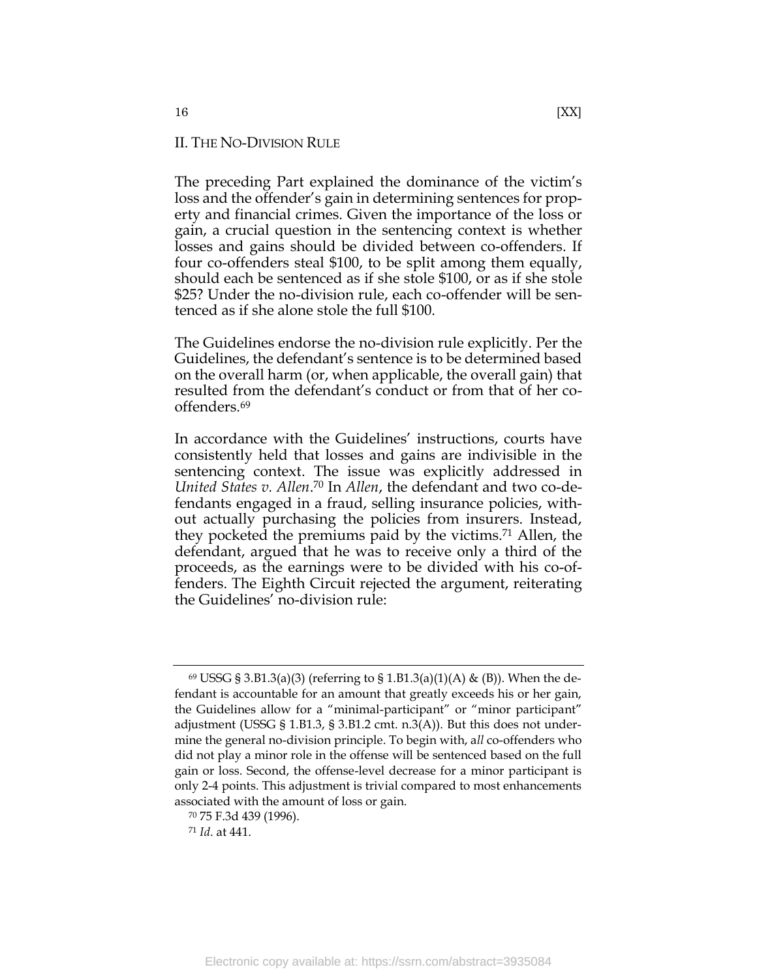# <span id="page-16-0"></span>II. THE NO-DIVISION RULE

The preceding Part explained the dominance of the victim's loss and the offender's gain in determining sentences for property and financial crimes. Given the importance of the loss or gain, a crucial question in the sentencing context is whether losses and gains should be divided between co-offenders. If four co-offenders steal \$100, to be split among them equally, should each be sentenced as if she stole \$100, or as if she stole \$25? Under the no-division rule, each co-offender will be sentenced as if she alone stole the full \$100.

The Guidelines endorse the no-division rule explicitly. Per the Guidelines, the defendant's sentence is to be determined based on the overall harm (or, when applicable, the overall gain) that resulted from the defendant's conduct or from that of her cooffenders.<sup>69</sup>

In accordance with the Guidelines' instructions, courts have consistently held that losses and gains are indivisible in the sentencing context. The issue was explicitly addressed in *United States v. Allen*. <sup>70</sup> In *Allen*, the defendant and two co-defendants engaged in a fraud, selling insurance policies, without actually purchasing the policies from insurers. Instead, they pocketed the premiums paid by the victims. <sup>71</sup> Allen, the defendant, argued that he was to receive only a third of the proceeds, as the earnings were to be divided with his co-offenders. The Eighth Circuit rejected the argument, reiterating the Guidelines' no-division rule:

 $69$  USSG § 3.B1.3(a)(3) (referring to § 1.B1.3(a)(1)(A) & (B)). When the defendant is accountable for an amount that greatly exceeds his or her gain, the Guidelines allow for a "minimal-participant" or "minor participant" adjustment (USSG § 1.B1.3, § 3.B1.2 cmt. n.3(A)). But this does not undermine the general no-division principle. To begin with, a*ll* co-offenders who did not play a minor role in the offense will be sentenced based on the full gain or loss. Second, the offense-level decrease for a minor participant is only 2-4 points. This adjustment is trivial compared to most enhancements associated with the amount of loss or gain.

<sup>70</sup> 75 F.3d 439 (1996).

<sup>71</sup> *Id*. at 441.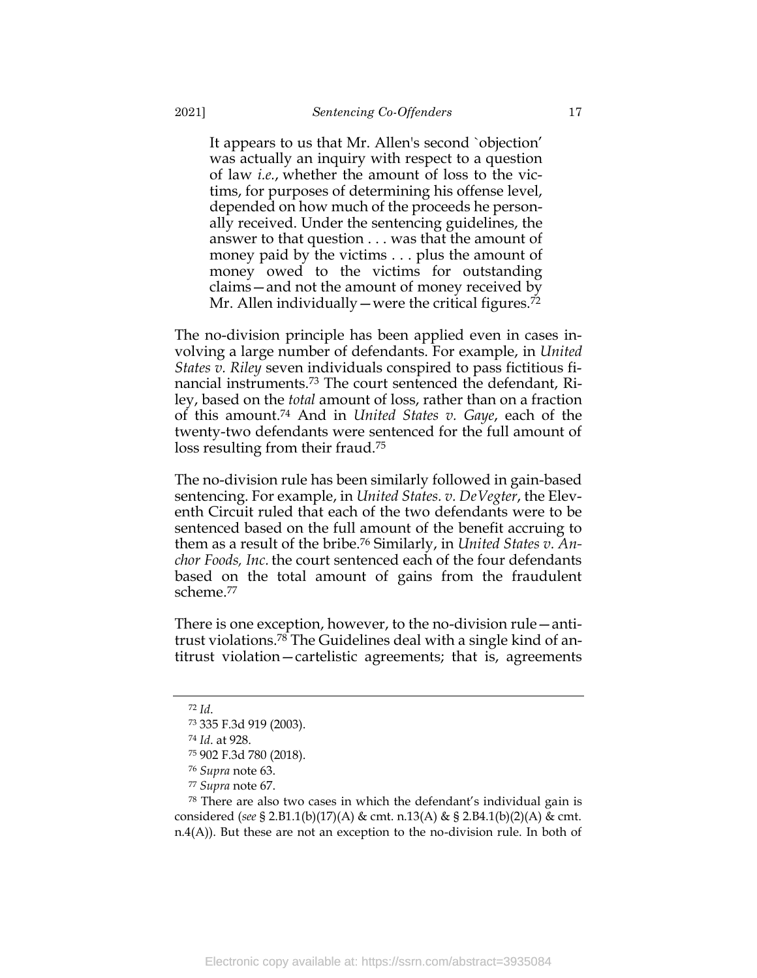It appears to us that Mr. Allen's second `objection' was actually an inquiry with respect to a question of law *i.e.*, whether the amount of loss to the victims, for purposes of determining his offense level, depended on how much of the proceeds he personally received. Under the sentencing guidelines, the answer to that question . . . was that the amount of money paid by the victims . . . plus the amount of money owed to the victims for outstanding claims—and not the amount of money received by Mr. Allen individually—were the critical figures.<sup>72</sup>

The no-division principle has been applied even in cases involving a large number of defendants. For example, in *United States v. Riley* seven individuals conspired to pass fictitious financial instruments.<sup>73</sup> The court sentenced the defendant, Riley, based on the *total* amount of loss, rather than on a fraction of this amount.<sup>74</sup> And in *United States v. Gaye*, each of the twenty-two defendants were sentenced for the full amount of loss resulting from their fraud.<sup>75</sup>

The no-division rule has been similarly followed in gain-based sentencing. For example, in *United States. v. DeVegter*, the Eleventh Circuit ruled that each of the two defendants were to be sentenced based on the full amount of the benefit accruing to them as a result of the bribe.<sup>76</sup> Similarly, in *United States v. Anchor Foods, Inc.* the court sentenced each of the four defendants based on the total amount of gains from the fraudulent scheme.<sup>77</sup>

There is one exception, however, to the no-division rule—antitrust violations. <sup>78</sup> The Guidelines deal with a single kind of antitrust violation—cartelistic agreements; that is, agreements

<sup>78</sup> There are also two cases in which the defendant's individual gain is considered (*see* § 2.B1.1(b)(17)(A) & cmt. n.13(A) & § 2.B4.1(b)(2)(A) & cmt. n.4(A)). But these are not an exception to the no-division rule. In both of

<sup>72</sup> *Id*.

<sup>73</sup> 335 F.3d 919 (2003).

<sup>74</sup> *Id*. at 928.

<sup>75</sup> 902 F.3d 780 (2018).

<sup>76</sup> *Supra* note [63.](#page-15-0)

<sup>77</sup> *Supra* note [67.](#page-15-1)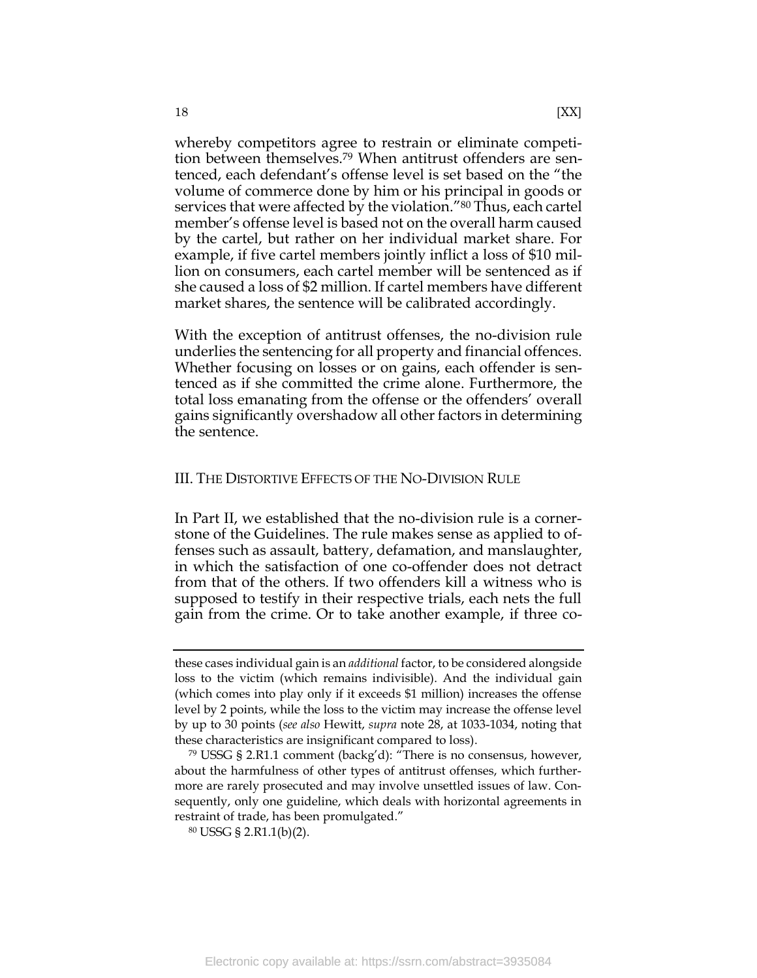<span id="page-18-1"></span>whereby competitors agree to restrain or eliminate competition between themselves. <sup>79</sup> When antitrust offenders are sentenced, each defendant's offense level is set based on the "the volume of commerce done by him or his principal in goods or services that were affected by the violation."<sup>80</sup> Thus, each cartel member's offense level is based not on the overall harm caused by the cartel, but rather on her individual market share. For example, if five cartel members jointly inflict a loss of \$10 million on consumers, each cartel member will be sentenced as if she caused a loss of \$2 million. If cartel members have different market shares, the sentence will be calibrated accordingly.

With the exception of antitrust offenses, the no-division rule underlies the sentencing for all property and financial offences. Whether focusing on losses or on gains, each offender is sentenced as if she committed the crime alone. Furthermore, the total loss emanating from the offense or the offenders' overall gains significantly overshadow all other factors in determining the sentence.

### <span id="page-18-0"></span>III. THE DISTORTIVE EFFECTS OF THE NO-DIVISION RULE

In Part II, we established that the no-division rule is a cornerstone of the Guidelines. The rule makes sense as applied to offenses such as assault, battery, defamation, and manslaughter, in which the satisfaction of one co-offender does not detract from that of the others. If two offenders kill a witness who is supposed to testify in their respective trials, each nets the full gain from the crime. Or to take another example, if three co-

these cases individual gain is an *additional* factor, to be considered alongside loss to the victim (which remains indivisible). And the individual gain (which comes into play only if it exceeds \$1 million) increases the offense level by 2 points, while the loss to the victim may increase the offense level by up to 30 points (*see also* Hewitt, *supra* note [28,](#page-9-1) at 1033-1034, noting that these characteristics are insignificant compared to loss).

<sup>79</sup> USSG § 2.R1.1 comment (backg'd): "There is no consensus, however, about the harmfulness of other types of antitrust offenses, which furthermore are rarely prosecuted and may involve unsettled issues of law. Consequently, only one guideline, which deals with horizontal agreements in restraint of trade, has been promulgated."

<sup>80</sup> USSG § 2.R1.1(b)(2).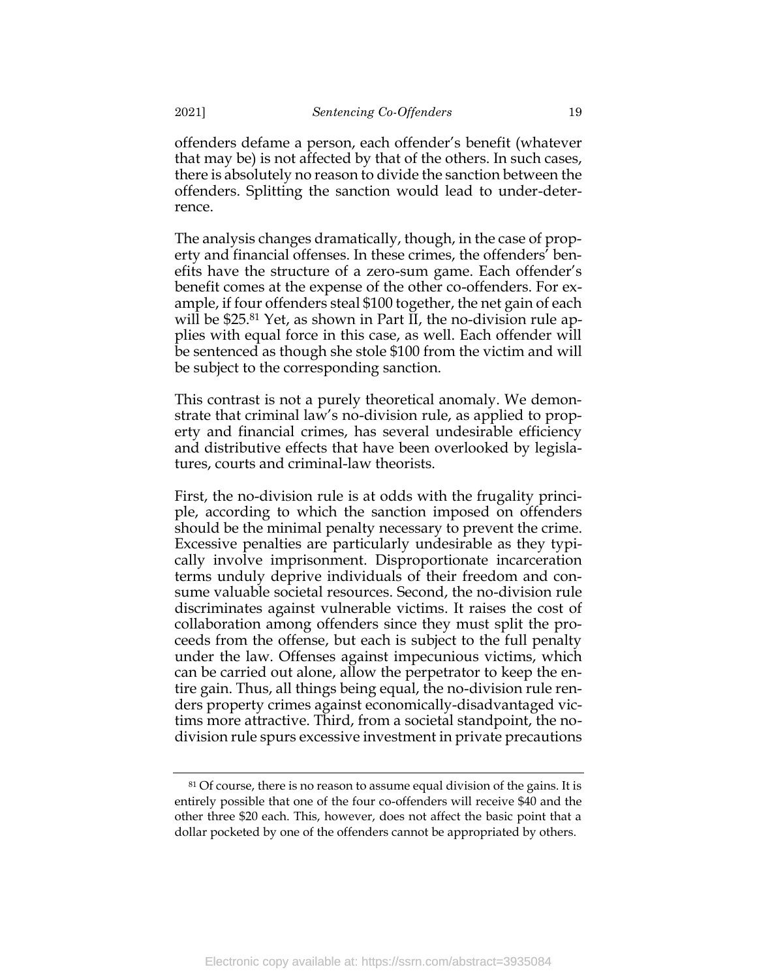offenders defame a person, each offender's benefit (whatever that may be) is not affected by that of the others. In such cases, there is absolutely no reason to divide the sanction between the offenders. Splitting the sanction would lead to under-deterrence.

The analysis changes dramatically, though, in the case of property and financial offenses. In these crimes, the offenders' benefits have the structure of a zero-sum game. Each offender's benefit comes at the expense of the other co-offenders. For example, if four offenders steal \$100 together, the net gain of each will be \$25.<sup>81</sup> Yet, as shown in Part II, the no-division rule applies with equal force in this case, as well. Each offender will be sentenced as though she stole \$100 from the victim and will be subject to the corresponding sanction.

This contrast is not a purely theoretical anomaly. We demonstrate that criminal law's no-division rule, as applied to property and financial crimes, has several undesirable efficiency and distributive effects that have been overlooked by legislatures, courts and criminal-law theorists.

First, the no-division rule is at odds with the frugality principle, according to which the sanction imposed on offenders should be the minimal penalty necessary to prevent the crime. Excessive penalties are particularly undesirable as they typically involve imprisonment. Disproportionate incarceration terms unduly deprive individuals of their freedom and consume valuable societal resources. Second, the no-division rule discriminates against vulnerable victims. It raises the cost of collaboration among offenders since they must split the proceeds from the offense, but each is subject to the full penalty under the law. Offenses against impecunious victims, which can be carried out alone, allow the perpetrator to keep the entire gain. Thus, all things being equal, the no-division rule renders property crimes against economically-disadvantaged victims more attractive. Third, from a societal standpoint, the nodivision rule spurs excessive investment in private precautions

<sup>&</sup>lt;sup>81</sup> Of course, there is no reason to assume equal division of the gains. It is entirely possible that one of the four co-offenders will receive \$40 and the other three \$20 each. This, however, does not affect the basic point that a dollar pocketed by one of the offenders cannot be appropriated by others.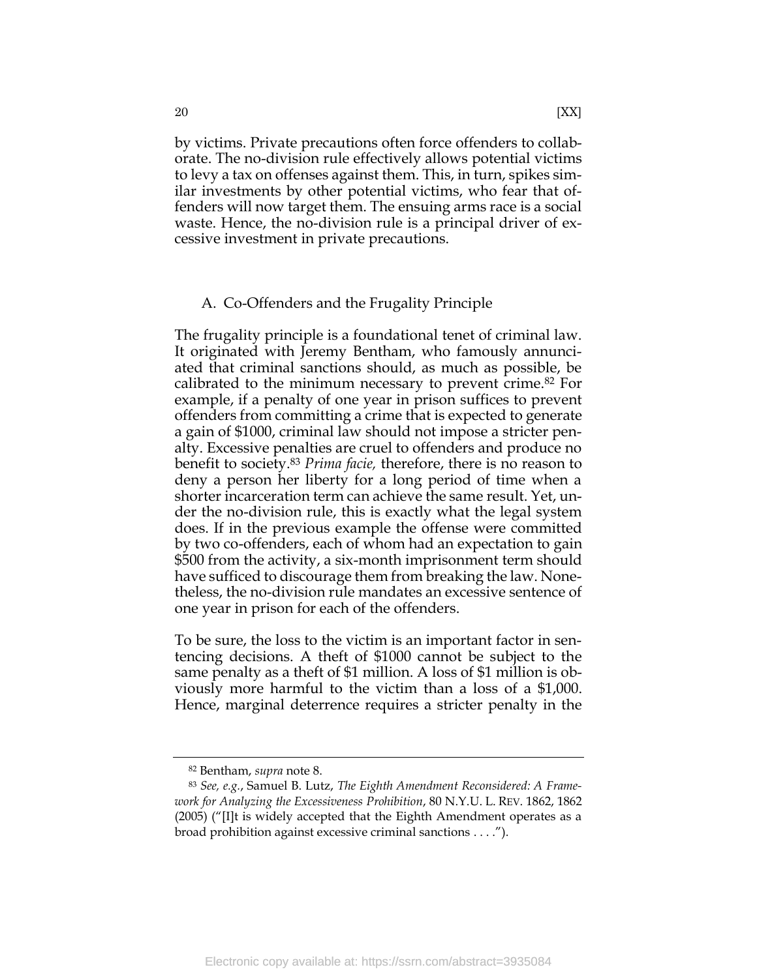by victims. Private precautions often force offenders to collaborate. The no-division rule effectively allows potential victims to levy a tax on offenses against them. This, in turn, spikes similar investments by other potential victims, who fear that offenders will now target them. The ensuing arms race is a social waste. Hence, the no-division rule is a principal driver of excessive investment in private precautions.

# <span id="page-20-0"></span>A. Co-Offenders and the Frugality Principle

The frugality principle is a foundational tenet of criminal law. It originated with Jeremy Bentham, who famously annunciated that criminal sanctions should, as much as possible, be calibrated to the minimum necessary to prevent crime.<sup>82</sup> For example, if a penalty of one year in prison suffices to prevent offenders from committing a crime that is expected to generate a gain of \$1000, criminal law should not impose a stricter penalty. Excessive penalties are cruel to offenders and produce no benefit to society.<sup>83</sup> *Prima facie,* therefore, there is no reason to deny a person her liberty for a long period of time when a shorter incarceration term can achieve the same result. Yet, under the no-division rule, this is exactly what the legal system does. If in the previous example the offense were committed by two co-offenders, each of whom had an expectation to gain \$500 from the activity, a six-month imprisonment term should have sufficed to discourage them from breaking the law. Nonetheless, the no-division rule mandates an excessive sentence of one year in prison for each of the offenders.

To be sure, the loss to the victim is an important factor in sentencing decisions. A theft of \$1000 cannot be subject to the same penalty as a theft of \$1 million. A loss of \$1 million is obviously more harmful to the victim than a loss of a \$1,000. Hence, marginal deterrence requires a stricter penalty in the

<sup>82</sup> Bentham, *supra* note [8.](#page-4-0)

<sup>83</sup> *See, e.g.*, Samuel B. Lutz, *The Eighth Amendment Reconsidered: A Framework for Analyzing the Excessiveness Prohibition*, 80 N.Y.U. L. REV. 1862, 1862 (2005) ("[I]t is widely accepted that the Eighth Amendment operates as a broad prohibition against excessive criminal sanctions . . . .").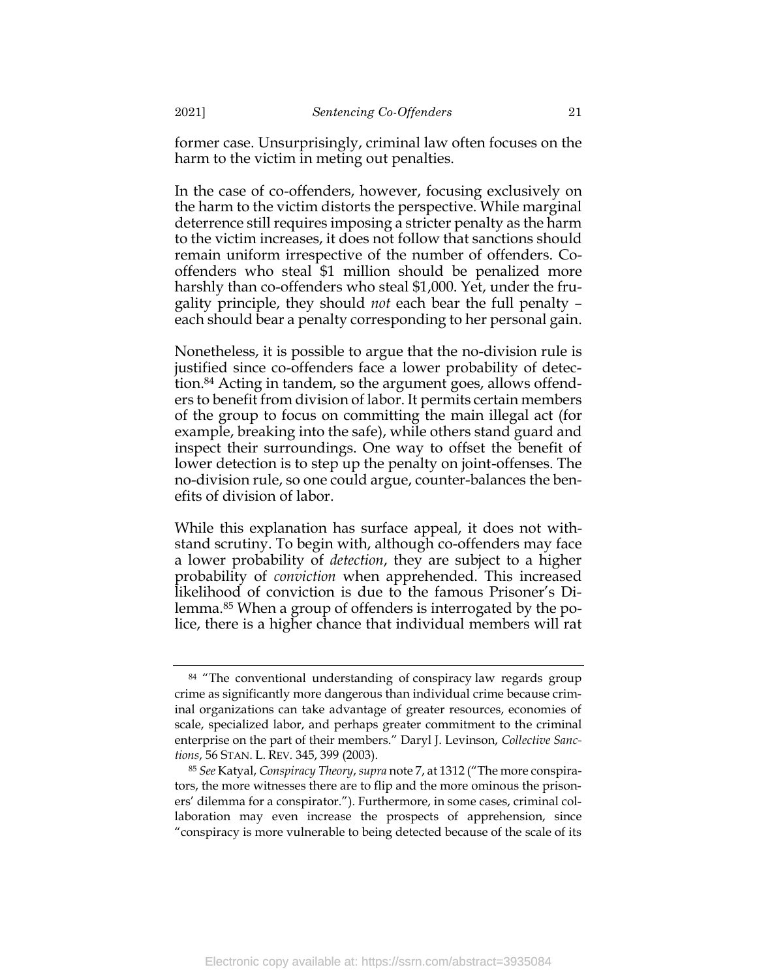former case. Unsurprisingly, criminal law often focuses on the harm to the victim in meting out penalties.

In the case of co-offenders, however, focusing exclusively on the harm to the victim distorts the perspective. While marginal deterrence still requires imposing a stricter penalty as the harm to the victim increases, it does not follow that sanctions should remain uniform irrespective of the number of offenders. Cooffenders who steal \$1 million should be penalized more harshly than co-offenders who steal \$1,000. Yet, under the frugality principle, they should *not* each bear the full penalty – each should bear a penalty corresponding to her personal gain.

Nonetheless, it is possible to argue that the no-division rule is justified since co-offenders face a lower probability of detection.<sup>84</sup> Acting in tandem, so the argument goes, allows offenders to benefit from division of labor. It permits certain members of the group to focus on committing the main illegal act (for example, breaking into the safe), while others stand guard and inspect their surroundings. One way to offset the benefit of lower detection is to step up the penalty on joint-offenses. The no-division rule, so one could argue, counter-balances the benefits of division of labor.

While this explanation has surface appeal, it does not withstand scrutiny. To begin with, although co-offenders may face a lower probability of *detection*, they are subject to a higher probability of *conviction* when apprehended. This increased likelihood of conviction is due to the famous Prisoner's Dilemma.<sup>85</sup> When a group of offenders is interrogated by the police, there is a higher chance that individual members will rat

<sup>&</sup>lt;sup>84</sup> "The conventional understanding of conspiracy law regards group crime as significantly more dangerous than individual crime because criminal organizations can take advantage of greater resources, economies of scale, specialized labor, and perhaps greater commitment to the criminal enterprise on the part of their members." Daryl J. Levinson, *Collective Sanctions*, 56 STAN. L. REV. 345, 399 (2003).

<sup>85</sup> *See* Katyal, *Conspiracy Theory*, *supra* not[e 7](#page-4-1), at 1312 ("The more conspirators, the more witnesses there are to flip and the more ominous the prisoners' dilemma for a conspirator."). Furthermore, in some cases, criminal collaboration may even increase the prospects of apprehension, since "conspiracy is more vulnerable to being detected because of the scale of its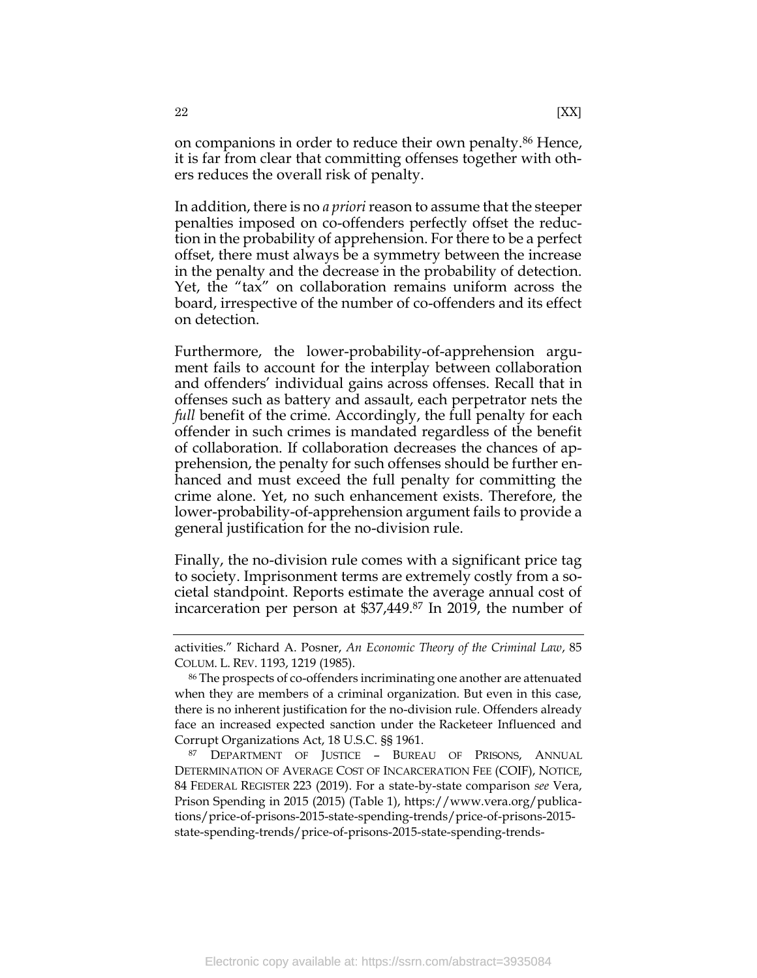In addition, there is no *a priori*reason to assume that the steeper penalties imposed on co-offenders perfectly offset the reduction in the probability of apprehension. For there to be a perfect offset, there must always be a symmetry between the increase in the penalty and the decrease in the probability of detection. Yet, the "tax" on collaboration remains uniform across the board, irrespective of the number of co-offenders and its effect on detection.

Furthermore, the lower-probability-of-apprehension argument fails to account for the interplay between collaboration and offenders' individual gains across offenses. Recall that in offenses such as battery and assault, each perpetrator nets the *full* benefit of the crime. Accordingly, the full penalty for each offender in such crimes is mandated regardless of the benefit of collaboration. If collaboration decreases the chances of apprehension, the penalty for such offenses should be further enhanced and must exceed the full penalty for committing the crime alone. Yet, no such enhancement exists. Therefore, the lower-probability-of-apprehension argument fails to provide a general justification for the no-division rule.

Finally, the no-division rule comes with a significant price tag to society. Imprisonment terms are extremely costly from a societal standpoint. Reports estimate the average annual cost of incarceration per person at \$37,449. <sup>87</sup> In 2019, the number of

activities." Richard A. Posner, *An Economic Theory of the Criminal Law*, 85 COLUM. L. REV. 1193, 1219 (1985).

<sup>86</sup> The prospects of co-offenders incriminating one another are attenuated when they are members of a criminal organization. But even in this case, there is no inherent justification for the no-division rule. Offenders already face an increased expected sanction under the Racketeer Influenced and Corrupt Organizations Act, 18 U.S.C. §§ 1961.

<sup>87</sup> DEPARTMENT OF JUSTICE – BUREAU OF PRISONS, ANNUAL DETERMINATION OF AVERAGE COST OF INCARCERATION FEE (COIF), NOTICE, 84 FEDERAL REGISTER 223 (2019). For a state-by-state comparison *see* Vera, Prison Spending in 2015 (2015) (Table 1), https://www.vera.org/publications/price-of-prisons-2015-state-spending-trends/price-of-prisons-2015 state-spending-trends/price-of-prisons-2015-state-spending-trends-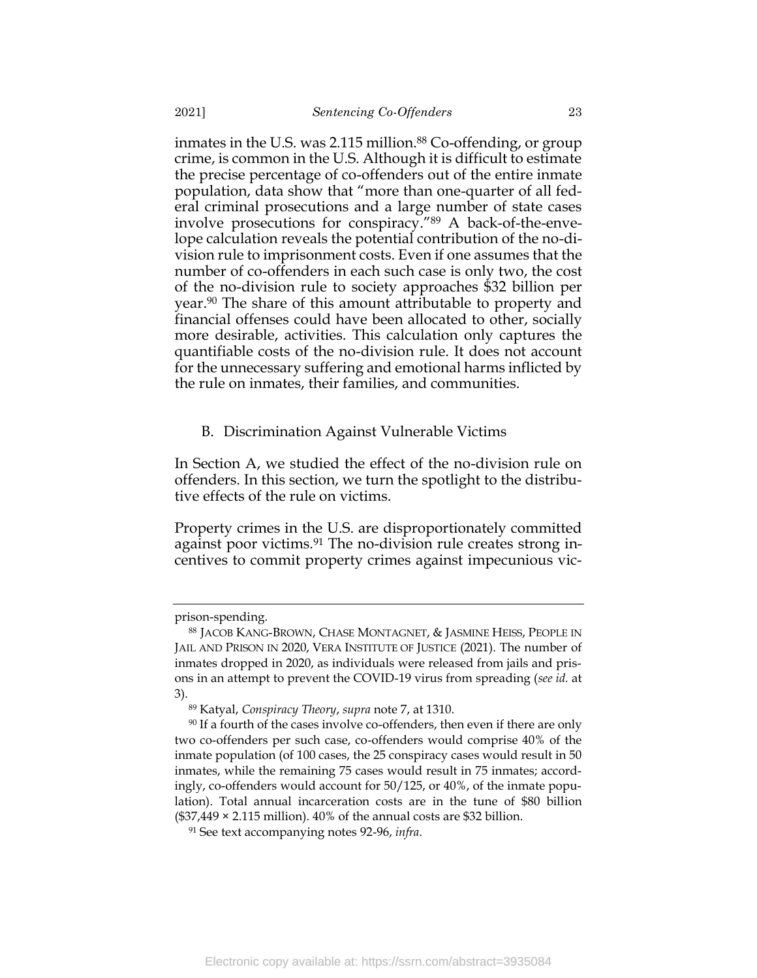inmates in the U.S. was 2.115 million. <sup>88</sup> Co-offending, or group crime, is common in the U.S. Although it is difficult to estimate the precise percentage of co-offenders out of the entire inmate population, data show that "more than one-quarter of all federal criminal prosecutions and a large number of state cases involve prosecutions for conspiracy."<sup>89</sup> A back-of-the-envelope calculation reveals the potential contribution of the no-division rule to imprisonment costs. Even if one assumes that the number of co-offenders in each such case is only two, the cost of the no-division rule to society approaches \$32 billion per year.<sup>90</sup> The share of this amount attributable to property and financial offenses could have been allocated to other, socially more desirable, activities. This calculation only captures the quantifiable costs of the no-division rule. It does not account for the unnecessary suffering and emotional harms inflicted by the rule on inmates, their families, and communities.

### <span id="page-23-0"></span>B. Discrimination Against Vulnerable Victims

In Section A, we studied the effect of the no-division rule on offenders. In this section, we turn the spotlight to the distributive effects of the rule on victims.

Property crimes in the U.S. are disproportionately committed against poor victims.<sup>91</sup> The no-division rule creates strong incentives to commit property crimes against impecunious vic-

prison-spending.

<sup>88</sup> JACOB KANG-BROWN, CHASE MONTAGNET, & JASMINE HEISS, PEOPLE IN JAIL AND PRISON IN 2020, VERA INSTITUTE OF JUSTICE (2021). The number of inmates dropped in 2020, as individuals were released from jails and prisons in an attempt to prevent the COVID-19 virus from spreading (*see id.* at 3).

<sup>89</sup> Katyal, *Conspiracy Theory*, *supra* note [7,](#page-4-1) at 1310.

<sup>&</sup>lt;sup>90</sup> If a fourth of the cases involve co-offenders, then even if there are only two co-offenders per such case, co-offenders would comprise 40% of the inmate population (of 100 cases, the 25 conspiracy cases would result in 50 inmates, while the remaining 75 cases would result in 75 inmates; accordingly, co-offenders would account for 50/125, or 40%, of the inmate population). Total annual incarceration costs are in the tune of \$80 billion  $($37,449 \times 2.115 \text{ million})$ .  $40\%$  of the annual costs are \$32 billion.

<sup>91</sup> See text accompanying notes [92](#page-24-0)[-96,](#page-25-0) *infra*.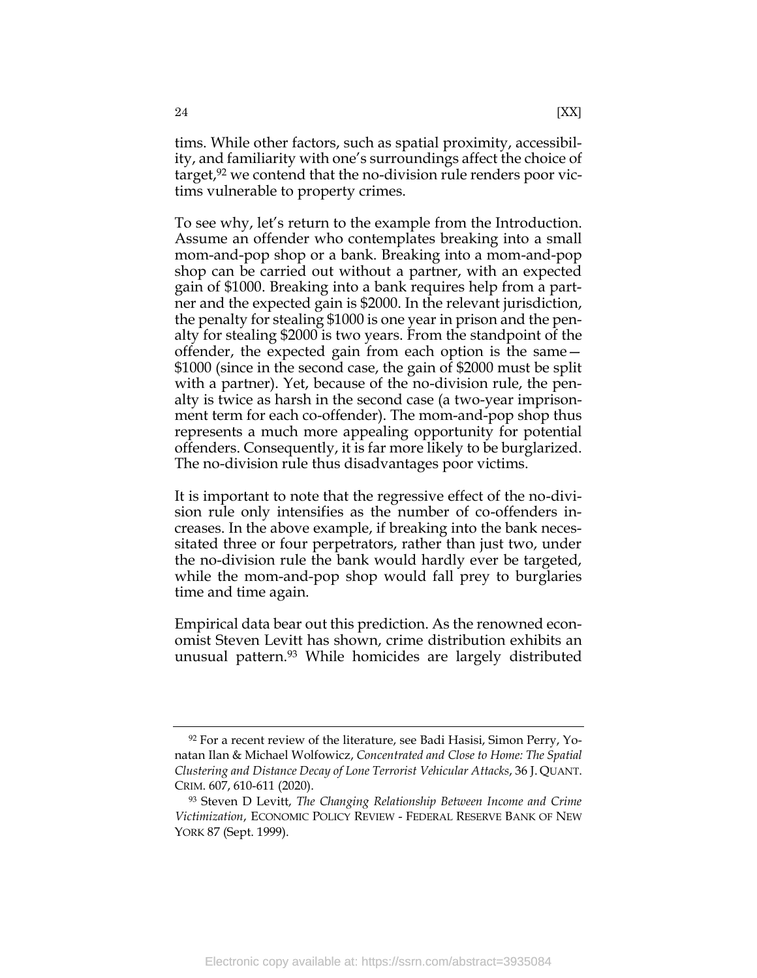<span id="page-24-0"></span>tims. While other factors, such as spatial proximity, accessibility, and familiarity with one's surroundings affect the choice of target,<sup>92</sup> we contend that the no-division rule renders poor victims vulnerable to property crimes.

To see why, let's return to the example from the Introduction. Assume an offender who contemplates breaking into a small mom-and-pop shop or a bank. Breaking into a mom-and-pop shop can be carried out without a partner, with an expected gain of \$1000. Breaking into a bank requires help from a partner and the expected gain is \$2000. In the relevant jurisdiction, the penalty for stealing \$1000 is one year in prison and the penalty for stealing \$2000 is two years. From the standpoint of the offender, the expected gain from each option is the same— \$1000 (since in the second case, the gain of \$2000 must be split with a partner). Yet, because of the no-division rule, the penalty is twice as harsh in the second case (a two-year imprisonment term for each co-offender). The mom-and-pop shop thus represents a much more appealing opportunity for potential offenders. Consequently, it is far more likely to be burglarized. The no-division rule thus disadvantages poor victims.

It is important to note that the regressive effect of the no-division rule only intensifies as the number of co-offenders increases. In the above example, if breaking into the bank necessitated three or four perpetrators, rather than just two, under the no-division rule the bank would hardly ever be targeted, while the mom-and-pop shop would fall prey to burglaries time and time again.

<span id="page-24-1"></span>Empirical data bear out this prediction. As the renowned economist Steven Levitt has shown, crime distribution exhibits an unusual pattern.<sup>93</sup> While homicides are largely distributed

 $92$  For a recent review of the literature, see Badi Hasisi, Simon Perry, Yonatan Ilan & Michael Wolfowicz, *Concentrated and Close to Home: The Spatial Clustering and Distance Decay of Lone Terrorist Vehicular Attacks*, 36 J. QUANT. CRIM. 607, 610-611 (2020).

<sup>93</sup> Steven D Levitt, *The Changing Relationship Between Income and Crime Victimization*, ECONOMIC POLICY REVIEW - FEDERAL RESERVE BANK OF NEW YORK 87 (Sept. 1999).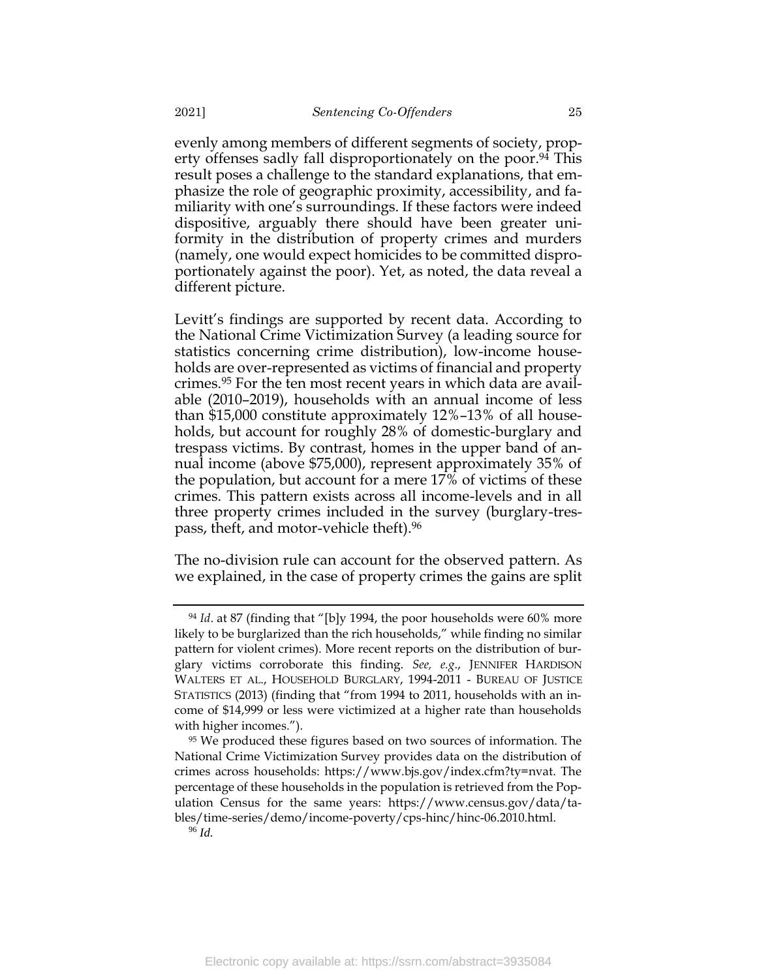evenly among members of different segments of society, property offenses sadly fall disproportionately on the poor. <sup>94</sup> This result poses a challenge to the standard explanations, that emphasize the role of geographic proximity, accessibility, and familiarity with one's surroundings. If these factors were indeed dispositive, arguably there should have been greater uniformity in the distribution of property crimes and murders (namely, one would expect homicides to be committed disproportionately against the poor). Yet, as noted, the data reveal a different picture.

Levitt's findings are supported by recent data. According to the National Crime Victimization Survey (a leading source for statistics concerning crime distribution), low-income households are over-represented as victims of financial and property crimes. <sup>95</sup> For the ten most recent years in which data are available (2010–2019), households with an annual income of less than \$15,000 constitute approximately 12%–13% of all households, but account for roughly 28% of domestic-burglary and trespass victims. By contrast, homes in the upper band of annual income (above \$75,000), represent approximately 35% of the population, but account for a mere 17% of victims of these crimes. This pattern exists across all income-levels and in all three property crimes included in the survey (burglary-trespass, theft, and motor-vehicle theft). 96

<span id="page-25-0"></span>The no-division rule can account for the observed pattern. As we explained, in the case of property crimes the gains are split

<sup>&</sup>lt;sup>94</sup> *Id.* at 87 (finding that "[b]y 1994, the poor households were 60% more likely to be burglarized than the rich households," while finding no similar pattern for violent crimes). More recent reports on the distribution of burglary victims corroborate this finding. *See, e.g*., JENNIFER HARDISON WALTERS ET AL., HOUSEHOLD BURGLARY, 1994-2011 - BUREAU OF JUSTICE STATISTICS (2013) (finding that "from 1994 to 2011, households with an income of \$14,999 or less were victimized at a higher rate than households with higher incomes.").

<sup>&</sup>lt;sup>95</sup> We produced these figures based on two sources of information. The National Crime Victimization Survey provides data on the distribution of crimes across households: https://www.bjs.gov/index.cfm?ty=nvat. The percentage of these households in the population is retrieved from the Population Census for the same years: https://www.census.gov/data/tables/time-series/demo/income-poverty/cps-hinc/hinc-06.2010.html. <sup>96</sup> *Id.*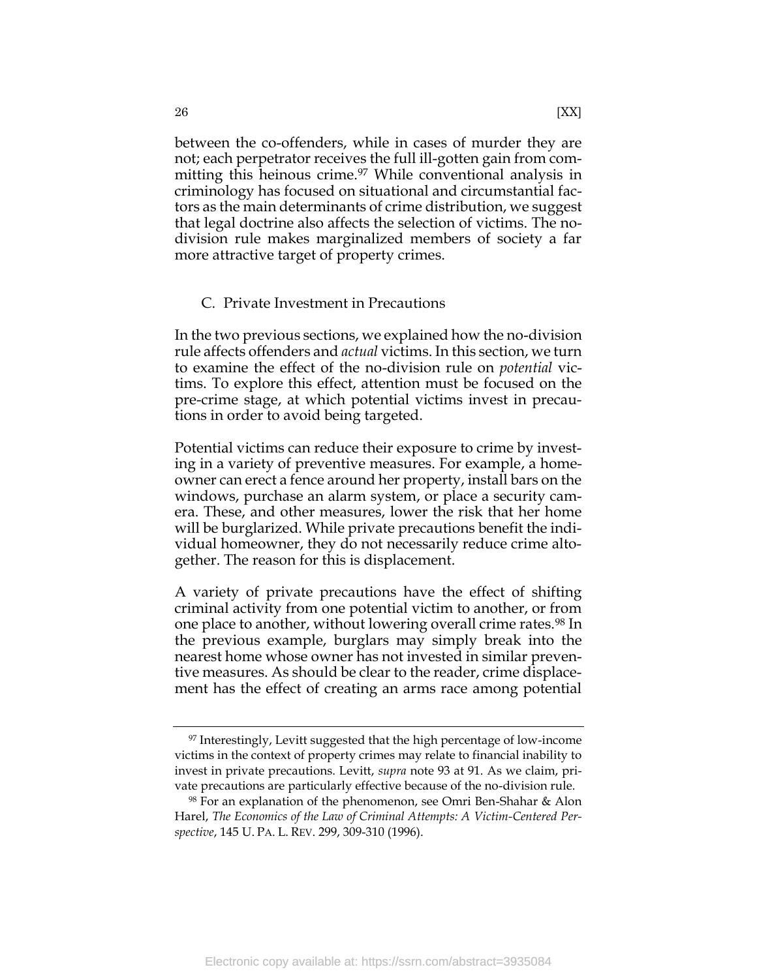between the co-offenders, while in cases of murder they are not; each perpetrator receives the full ill-gotten gain from committing this heinous crime.<sup>97</sup> While conventional analysis in criminology has focused on situational and circumstantial factors as the main determinants of crime distribution, we suggest that legal doctrine also affects the selection of victims. The nodivision rule makes marginalized members of society a far more attractive target of property crimes.

### <span id="page-26-0"></span>C. Private Investment in Precautions

In the two previous sections, we explained how the no-division rule affects offenders and *actual* victims. In this section, we turn to examine the effect of the no-division rule on *potential* victims. To explore this effect, attention must be focused on the pre-crime stage, at which potential victims invest in precautions in order to avoid being targeted.

Potential victims can reduce their exposure to crime by investing in a variety of preventive measures. For example, a homeowner can erect a fence around her property, install bars on the windows, purchase an alarm system, or place a security camera. These, and other measures, lower the risk that her home will be burglarized. While private precautions benefit the individual homeowner, they do not necessarily reduce crime altogether. The reason for this is displacement.

A variety of private precautions have the effect of shifting criminal activity from one potential victim to another, or from one place to another, without lowering overall crime rates.<sup>98</sup> In the previous example, burglars may simply break into the nearest home whose owner has not invested in similar preventive measures. As should be clear to the reader, crime displacement has the effect of creating an arms race among potential

<sup>&</sup>lt;sup>97</sup> Interestingly, Levitt suggested that the high percentage of low-income victims in the context of property crimes may relate to financial inability to invest in private precautions. Levitt, *supra* note [93](#page-24-1) at 91. As we claim, private precautions are particularly effective because of the no-division rule.

<sup>98</sup> For an explanation of the phenomenon, see Omri Ben-Shahar & Alon Harel, *The Economics of the Law of Criminal Attempts: A Victim-Centered Perspective*, 145 U. PA. L. REV. 299, 309-310 (1996).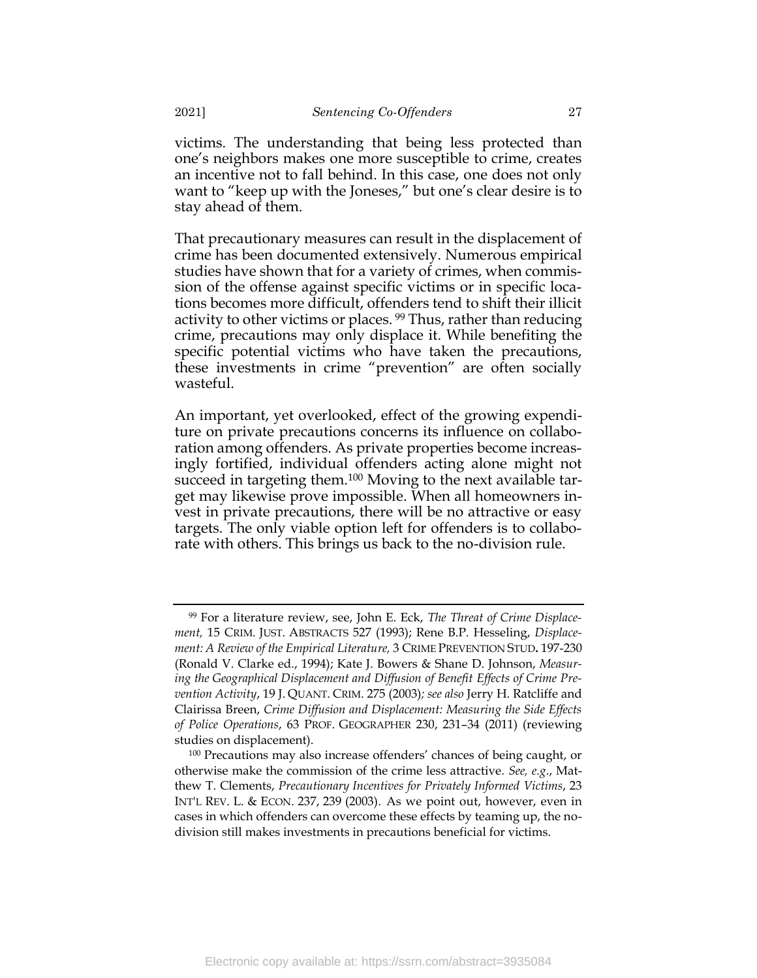victims. The understanding that being less protected than one's neighbors makes one more susceptible to crime, creates an incentive not to fall behind. In this case, one does not only want to "keep up with the Joneses," but one's clear desire is to stay ahead of them.

<span id="page-27-0"></span>That precautionary measures can result in the displacement of crime has been documented extensively. Numerous empirical studies have shown that for a variety of crimes, when commission of the offense against specific victims or in specific locations becomes more difficult, offenders tend to shift their illicit activity to other victims or places. <sup>99</sup> Thus, rather than reducing crime, precautions may only displace it. While benefiting the specific potential victims who have taken the precautions, these investments in crime "prevention" are often socially wasteful.

An important, yet overlooked, effect of the growing expenditure on private precautions concerns its influence on collaboration among offenders. As private properties become increasingly fortified, individual offenders acting alone might not succeed in targeting them.<sup>100</sup> Moving to the next available target may likewise prove impossible. When all homeowners invest in private precautions, there will be no attractive or easy targets. The only viable option left for offenders is to collaborate with others. This brings us back to the no-division rule.

<sup>99</sup> For a literature review, see, John E. Eck, *The Threat of Crime Displacement,* 15 CRIM. JUST. ABSTRACTS 527 (1993); Rene B.P. Hesseling, *Displacement: A Review of the Empirical Literature,* 3 CRIME PREVENTION STUD**.** 197-230 (Ronald V. Clarke ed., 1994); Kate J. Bowers & Shane D. Johnson, *Measuring the Geographical Displacement and Diffusion of Benefit Effects of Crime Prevention Activity*, 19 J. QUANT. CRIM. 275 (2003)*; see also* Jerry H. Ratcliffe and Clairissa Breen, *Crime Diffusion and Displacement: Measuring the Side Effects of Police Operations*, 63 PROF. GEOGRAPHER 230, 231–34 (2011) (reviewing studies on displacement).

<sup>100</sup> Precautions may also increase offenders' chances of being caught, or otherwise make the commission of the crime less attractive. *See, e.g*., Matthew T. Clements, *Precautionary Incentives for Privately Informed Victims*, 23 INT'L REV. L. & ECON. 237, 239 (2003). As we point out, however, even in cases in which offenders can overcome these effects by teaming up, the nodivision still makes investments in precautions beneficial for victims.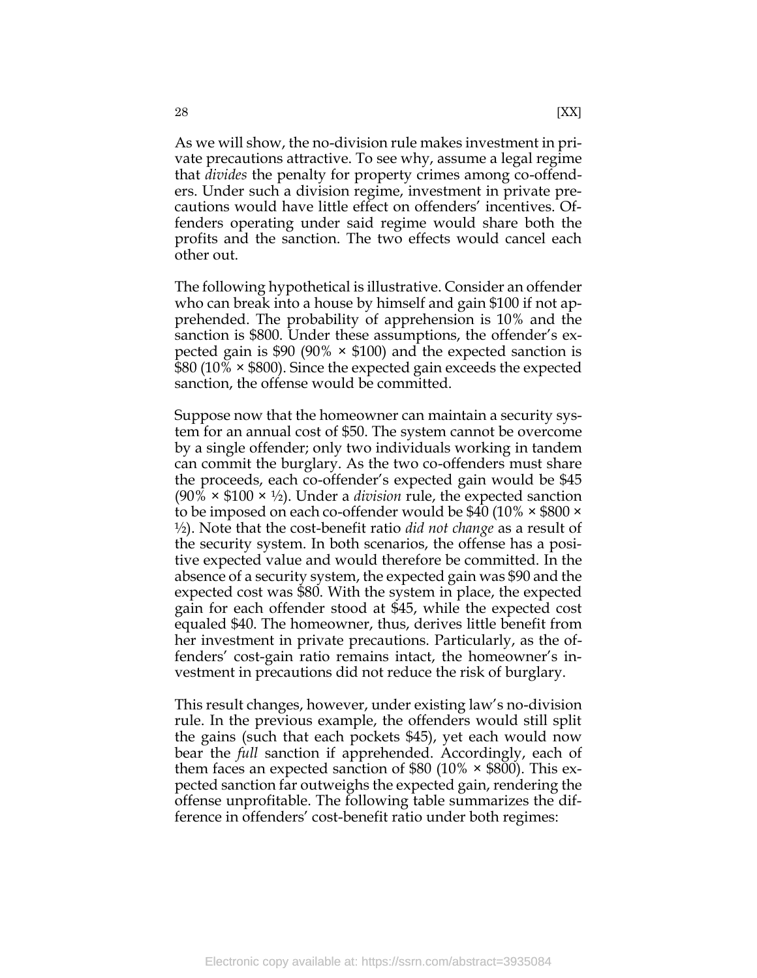As we will show, the no-division rule makes investment in private precautions attractive. To see why, assume a legal regime that *divides* the penalty for property crimes among co-offenders. Under such a division regime, investment in private precautions would have little effect on offenders' incentives. Offenders operating under said regime would share both the profits and the sanction. The two effects would cancel each other out.

The following hypothetical is illustrative. Consider an offender who can break into a house by himself and gain \$100 if not apprehended. The probability of apprehension is 10% and the sanction is \$800. Under these assumptions, the offender's expected gain is \$90 (90%  $\times$  \$100) and the expected sanction is \$80 (10% × \$800). Since the expected gain exceeds the expected sanction, the offense would be committed.

Suppose now that the homeowner can maintain a security system for an annual cost of \$50. The system cannot be overcome by a single offender; only two individuals working in tandem can commit the burglary. As the two co-offenders must share the proceeds, each co-offender's expected gain would be \$45 (90% × \$100 × ½). Under a *division* rule, the expected sanction to be imposed on each co-offender would be \$40 (10% × \$800 × ½). Note that the cost-benefit ratio *did not change* as a result of the security system. In both scenarios, the offense has a positive expected value and would therefore be committed. In the absence of a security system, the expected gain was \$90 and the expected cost was \$80. With the system in place, the expected gain for each offender stood at \$45, while the expected cost equaled \$40. The homeowner, thus, derives little benefit from her investment in private precautions. Particularly, as the offenders' cost-gain ratio remains intact, the homeowner's investment in precautions did not reduce the risk of burglary.

This result changes, however, under existing law's no-division rule. In the previous example, the offenders would still split the gains (such that each pockets \$45), yet each would now bear the *full* sanction if apprehended. Accordingly, each of them faces an expected sanction of  $$80$  (10%  $\times$  \$800). This expected sanction far outweighs the expected gain, rendering the offense unprofitable. The following table summarizes the difference in offenders' cost-benefit ratio under both regimes: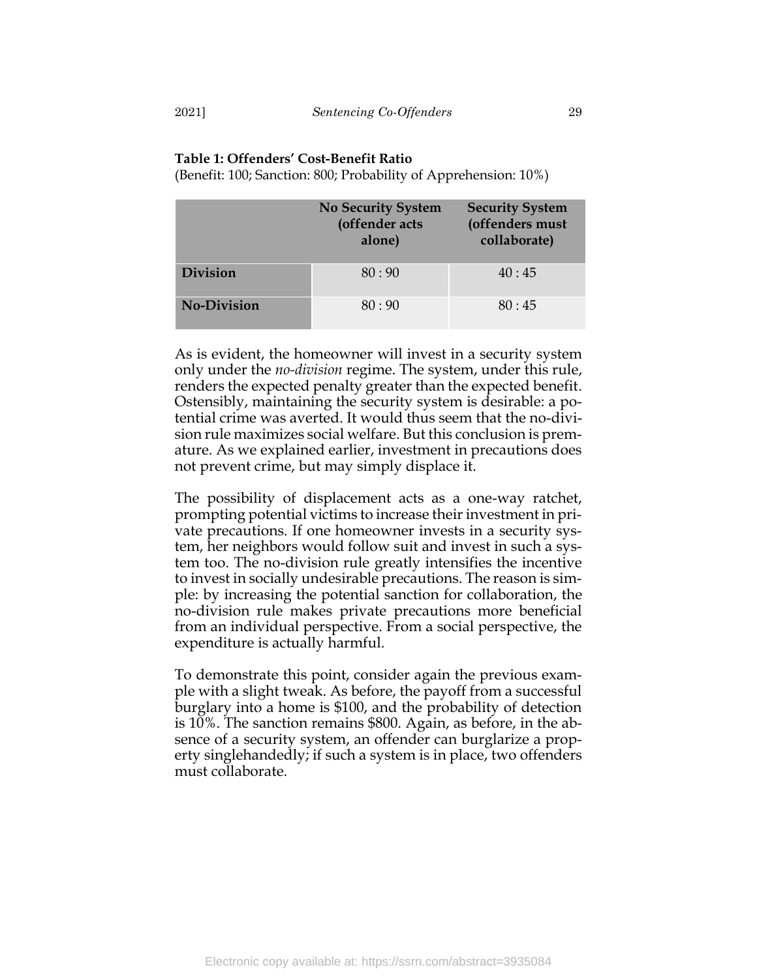# **Table 1: Offenders' Cost-Benefit Ratio**

(Benefit: 100; Sanction: 800; Probability of Apprehension: 10%)

|                    | <b>No Security System</b><br>(offender acts<br>alone) | <b>Security System</b><br>(offenders must<br>collaborate) |
|--------------------|-------------------------------------------------------|-----------------------------------------------------------|
| <b>Division</b>    | 80:90                                                 | 40:45                                                     |
| <b>No-Division</b> | 80:90                                                 | 80:45                                                     |

As is evident, the homeowner will invest in a security system only under the *no-division* regime. The system, under this rule, renders the expected penalty greater than the expected benefit. Ostensibly, maintaining the security system is desirable: a potential crime was averted. It would thus seem that the no-division rule maximizes social welfare. But this conclusion is premature. As we explained earlier, investment in precautions does not prevent crime, but may simply displace it.

The possibility of displacement acts as a one-way ratchet, prompting potential victims to increase their investment in private precautions. If one homeowner invests in a security system, her neighbors would follow suit and invest in such a system too. The no-division rule greatly intensifies the incentive to invest in socially undesirable precautions. The reason is simple: by increasing the potential sanction for collaboration, the no-division rule makes private precautions more beneficial from an individual perspective. From a social perspective, the expenditure is actually harmful.

To demonstrate this point, consider again the previous example with a slight tweak. As before, the payoff from a successful burglary into a home is \$100, and the probability of detection is 10%. The sanction remains \$800. Again, as before, in the absence of a security system, an offender can burglarize a property singlehandedly; if such a system is in place, two offenders must collaborate.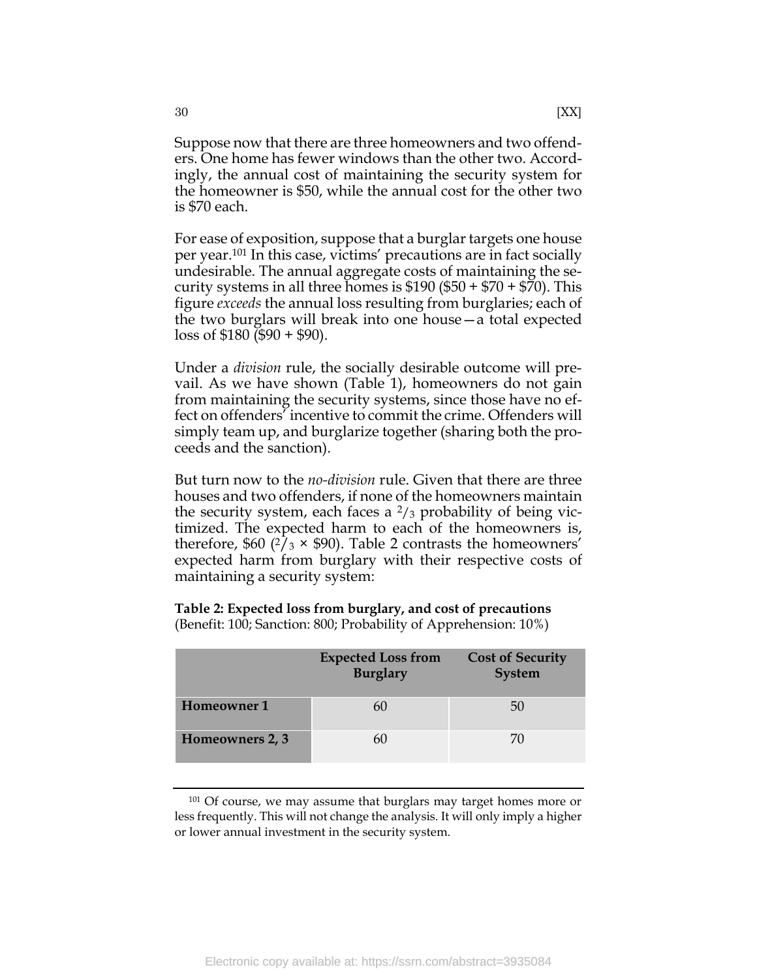Suppose now that there are three homeowners and two offenders. One home has fewer windows than the other two. Accordingly, the annual cost of maintaining the security system for the homeowner is \$50, while the annual cost for the other two is \$70 each.

For ease of exposition, suppose that a burglar targets one house per year.<sup>101</sup> In this case, victims' precautions are in fact socially undesirable. The annual aggregate costs of maintaining the security systems in all three homes is  $$190 ($50 + $70 + $70)$ . This figure *exceeds* the annual loss resulting from burglaries; each of the two burglars will break into one house—a total expected  $\cos$  of \$180 (\$90 + \$90).

Under a *division* rule, the socially desirable outcome will prevail. As we have shown (Table 1), homeowners do not gain from maintaining the security systems, since those have no effect on offenders' incentive to commit the crime. Offenders will simply team up, and burglarize together (sharing both the proceeds and the sanction).

But turn now to the *no-division* rule. Given that there are three houses and two offenders, if none of the homeowners maintain the security system, each faces a  $\frac{2}{3}$  probability of being victimized. The expected harm to each of the homeowners is, therefore, \$60  $(2/3 \times$  \$90). Table 2 contrasts the homeowners' expected harm from burglary with their respective costs of maintaining a security system:

|                    | <b>Expected Loss from</b><br><b>Burglary</b> | <b>Cost of Security</b><br>System |
|--------------------|----------------------------------------------|-----------------------------------|
| <b>Homeowner 1</b> |                                              | 50                                |
| Homeowners 2, 3    |                                              | 70                                |

**Table 2: Expected loss from burglary, and cost of precautions** (Benefit: 100; Sanction: 800; Probability of Apprehension: 10%)

<sup>101</sup> Of course, we may assume that burglars may target homes more or less frequently. This will not change the analysis. It will only imply a higher or lower annual investment in the security system.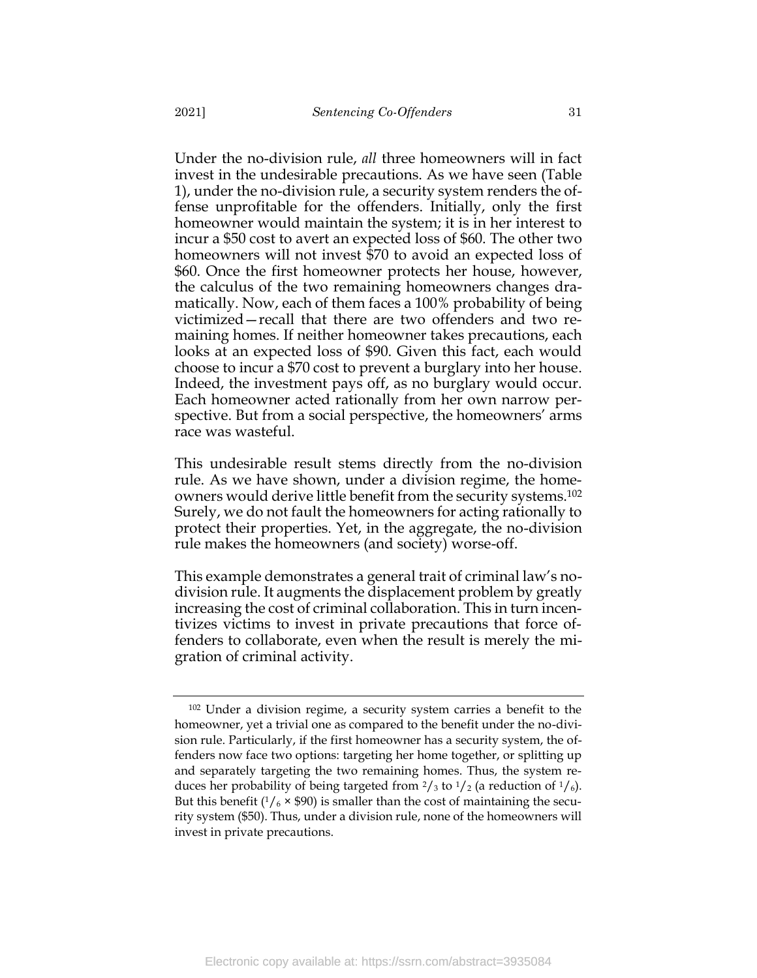Under the no-division rule, *all* three homeowners will in fact invest in the undesirable precautions. As we have seen (Table 1), under the no-division rule, a security system renders the offense unprofitable for the offenders. Initially, only the first homeowner would maintain the system; it is in her interest to incur a \$50 cost to avert an expected loss of \$60. The other two homeowners will not invest \$70 to avoid an expected loss of \$60. Once the first homeowner protects her house, however, the calculus of the two remaining homeowners changes dramatically. Now, each of them faces a 100% probability of being victimized—recall that there are two offenders and two remaining homes. If neither homeowner takes precautions, each looks at an expected loss of \$90. Given this fact, each would choose to incur a \$70 cost to prevent a burglary into her house. Indeed, the investment pays off, as no burglary would occur. Each homeowner acted rationally from her own narrow perspective. But from a social perspective, the homeowners' arms race was wasteful.

This undesirable result stems directly from the no-division rule. As we have shown, under a division regime, the homeowners would derive little benefit from the security systems. 102 Surely, we do not fault the homeowners for acting rationally to protect their properties. Yet, in the aggregate, the no-division rule makes the homeowners (and society) worse-off.

This example demonstrates a general trait of criminal law's nodivision rule. It augments the displacement problem by greatly increasing the cost of criminal collaboration. This in turn incentivizes victims to invest in private precautions that force offenders to collaborate, even when the result is merely the migration of criminal activity.

<sup>102</sup> Under a division regime, a security system carries a benefit to the homeowner, yet a trivial one as compared to the benefit under the no-division rule. Particularly, if the first homeowner has a security system, the offenders now face two options: targeting her home together, or splitting up and separately targeting the two remaining homes. Thus, the system reduces her probability of being targeted from  $\frac{2}{3}$  to  $\frac{1}{2}$  (a reduction of  $\frac{1}{6}$ ). But this benefit  $(1/6 \times $90)$  is smaller than the cost of maintaining the security system (\$50). Thus, under a division rule, none of the homeowners will invest in private precautions.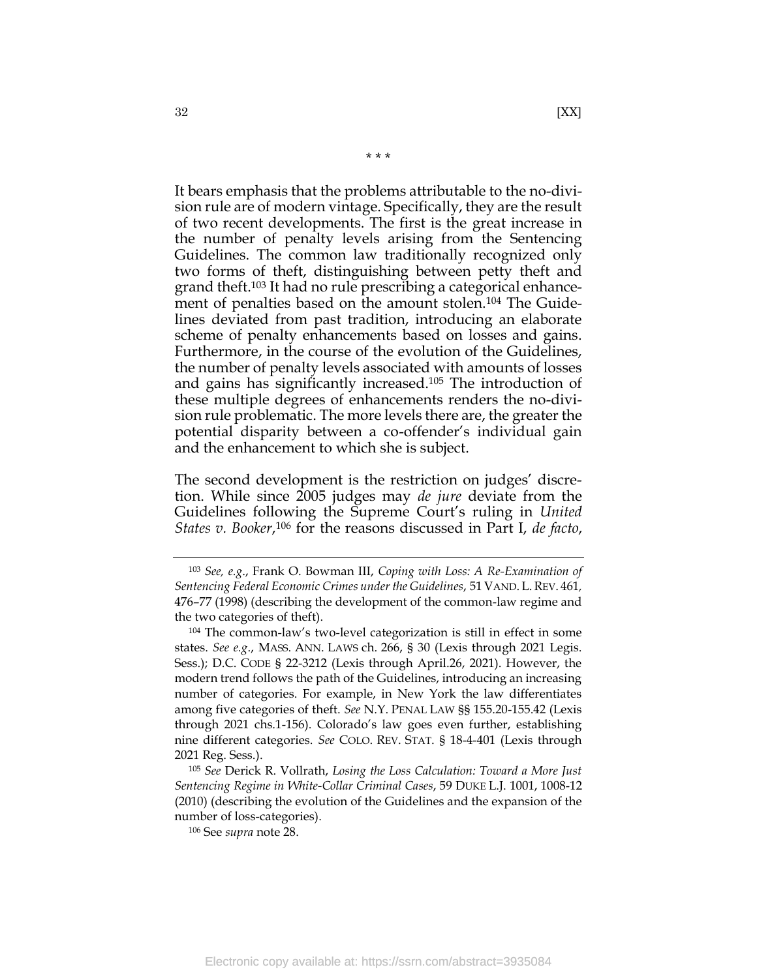It bears emphasis that the problems attributable to the no-division rule are of modern vintage. Specifically, they are the result of two recent developments. The first is the great increase in the number of penalty levels arising from the Sentencing Guidelines. The common law traditionally recognized only two forms of theft, distinguishing between petty theft and grand theft. <sup>103</sup> It had no rule prescribing a categorical enhancement of penalties based on the amount stolen.<sup>104</sup> The Guidelines deviated from past tradition, introducing an elaborate scheme of penalty enhancements based on losses and gains. Furthermore, in the course of the evolution of the Guidelines, the number of penalty levels associated with amounts of losses and gains has significantly increased. <sup>105</sup> The introduction of these multiple degrees of enhancements renders the no-division rule problematic. The more levels there are, the greater the potential disparity between a co-offender's individual gain and the enhancement to which she is subject.

\* \* \*

The second development is the restriction on judges' discretion. While since 2005 judges may *de jure* deviate from the Guidelines following the Supreme Court's ruling in *United States v. Booker*, <sup>106</sup> for the reasons discussed in Part I, *de facto*,

<sup>103</sup> *See, e.g*., Frank O. Bowman III, *Coping with Loss: A Re-Examination of Sentencing Federal Economic Crimes under the Guidelines*, 51 VAND. L.REV. 461*,*  476–77 (1998) (describing the development of the common-law regime and the two categories of theft).

<sup>104</sup> The common-law's two-level categorization is still in effect in some states. *See e.g*., MASS. ANN. LAWS ch. 266, § 30 (Lexis through 2021 Legis. Sess.); D.C. CODE § 22-3212 (Lexis through April.26, 2021). However, the modern trend follows the path of the Guidelines, introducing an increasing number of categories. For example, in New York the law differentiates among five categories of theft. *See* N.Y. PENAL LAW §§ 155.20-155.42 (Lexis through 2021 chs.1-156). Colorado's law goes even further, establishing nine different categories. *See* COLO. REV. STAT. § 18-4-401 (Lexis through 2021 Reg. Sess.).

<sup>105</sup> *See* Derick R. Vollrath, *Losing the Loss Calculation: Toward a More Just Sentencing Regime in White-Collar Criminal Cases*, 59 DUKE L.J. 1001, 1008-12 (2010) (describing the evolution of the Guidelines and the expansion of the number of loss-categories).

<sup>106</sup> See *supra* note [28.](#page-9-1)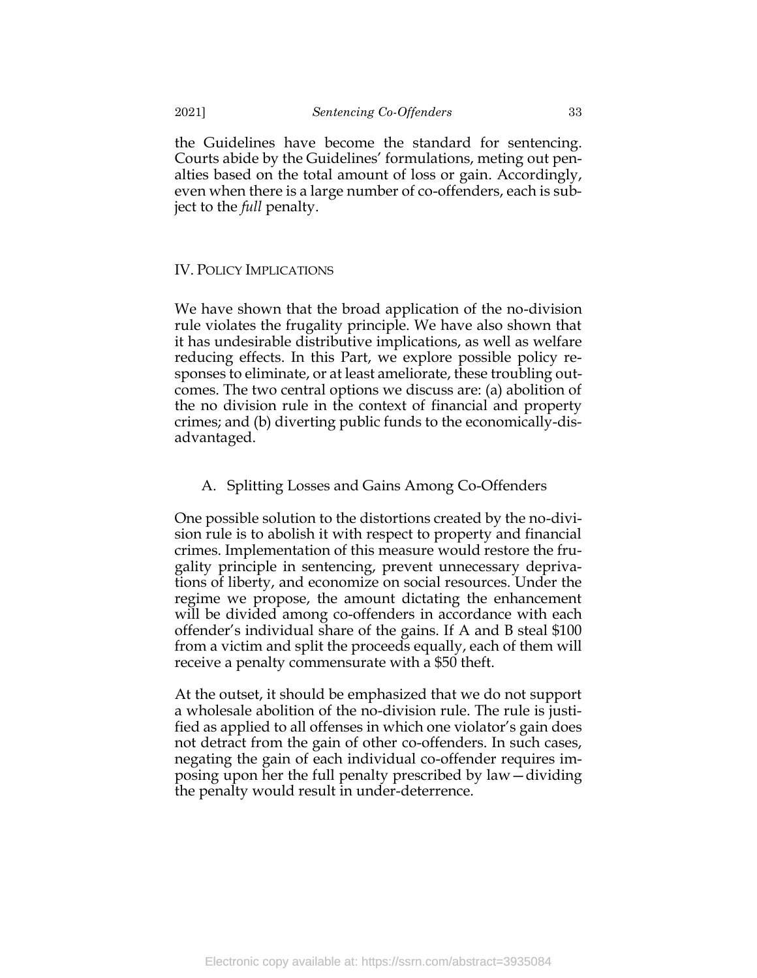the Guidelines have become the standard for sentencing. Courts abide by the Guidelines' formulations, meting out penalties based on the total amount of loss or gain. Accordingly, even when there is a large number of co-offenders, each is subject to the *full* penalty.

### <span id="page-33-0"></span>IV. POLICY IMPLICATIONS

We have shown that the broad application of the no-division rule violates the frugality principle. We have also shown that it has undesirable distributive implications, as well as welfare reducing effects. In this Part, we explore possible policy responses to eliminate, or at least ameliorate, these troubling outcomes. The two central options we discuss are: (a) abolition of the no division rule in the context of financial and property crimes; and (b) diverting public funds to the economically-disadvantaged.

# <span id="page-33-1"></span>A. Splitting Losses and Gains Among Co-Offenders

One possible solution to the distortions created by the no-division rule is to abolish it with respect to property and financial crimes. Implementation of this measure would restore the frugality principle in sentencing, prevent unnecessary deprivations of liberty, and economize on social resources. Under the regime we propose, the amount dictating the enhancement will be divided among co-offenders in accordance with each offender's individual share of the gains. If A and B steal \$100 from a victim and split the proceeds equally, each of them will receive a penalty commensurate with a \$50 theft.

At the outset, it should be emphasized that we do not support a wholesale abolition of the no-division rule. The rule is justified as applied to all offenses in which one violator's gain does not detract from the gain of other co-offenders. In such cases, negating the gain of each individual co-offender requires imposing upon her the full penalty prescribed by law—dividing the penalty would result in under-deterrence.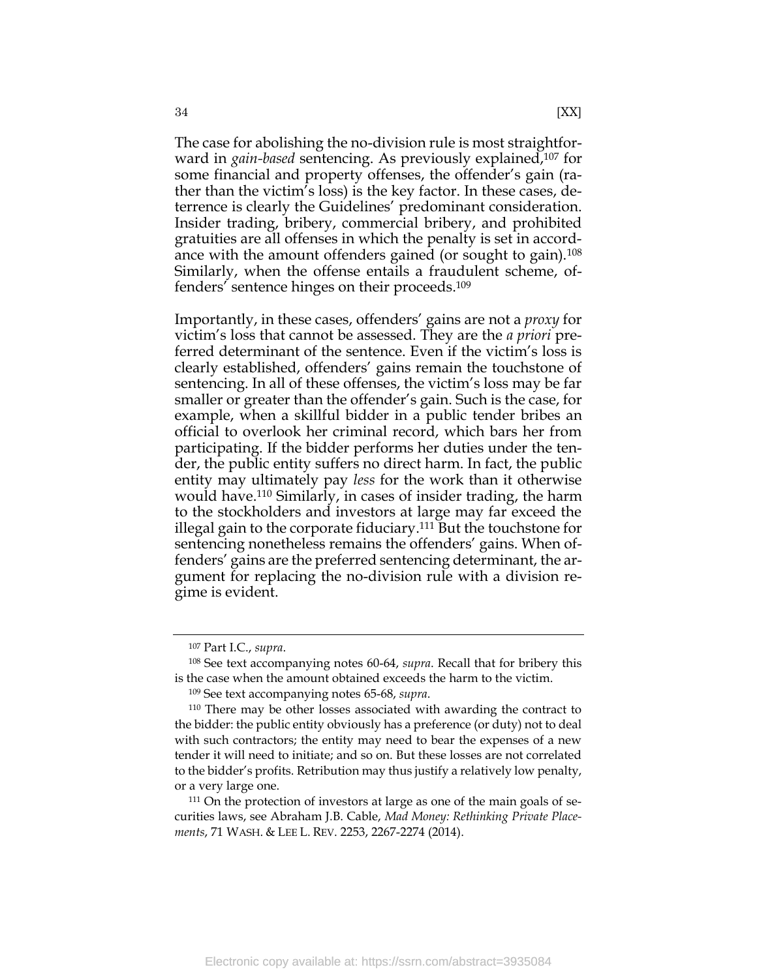The case for abolishing the no-division rule is most straightforward in *gain-based* sentencing. As previously explained,<sup>107</sup> for some financial and property offenses, the offender's gain (rather than the victim's loss) is the key factor. In these cases, deterrence is clearly the Guidelines' predominant consideration. Insider trading, bribery, commercial bribery, and prohibited gratuities are all offenses in which the penalty is set in accordance with the amount offenders gained (or sought to gain).<sup>108</sup> Similarly, when the offense entails a fraudulent scheme, offenders' sentence hinges on their proceeds.<sup>109</sup>

Importantly, in these cases, offenders' gains are not a *proxy* for victim's loss that cannot be assessed. They are the *a priori* preferred determinant of the sentence. Even if the victim's loss is clearly established, offenders' gains remain the touchstone of sentencing. In all of these offenses, the victim's loss may be far smaller or greater than the offender's gain. Such is the case, for example, when a skillful bidder in a public tender bribes an official to overlook her criminal record, which bars her from participating. If the bidder performs her duties under the tender, the public entity suffers no direct harm. In fact, the public entity may ultimately pay *less* for the work than it otherwise would have.<sup>110</sup> Similarly, in cases of insider trading, the harm to the stockholders and investors at large may far exceed the illegal gain to the corporate fiduciary. <sup>111</sup> But the touchstone for sentencing nonetheless remains the offenders' gains. When offenders' gains are the preferred sentencing determinant, the argument for replacing the no-division rule with a division regime is evident.

<sup>107</sup> Part I.C., *supra*.

<sup>108</sup> See text accompanying notes [60](#page-14-1)[-64,](#page-15-2) *supra*. Recall that for bribery this is the case when the amount obtained exceeds the harm to the victim.

<sup>109</sup> See text accompanying notes [65-](#page-15-3)[68,](#page-15-4) *supra*.

<sup>110</sup> There may be other losses associated with awarding the contract to the bidder: the public entity obviously has a preference (or duty) not to deal with such contractors; the entity may need to bear the expenses of a new tender it will need to initiate; and so on. But these losses are not correlated to the bidder's profits. Retribution may thus justify a relatively low penalty, or a very large one.

<sup>&</sup>lt;sup>111</sup> On the protection of investors at large as one of the main goals of securities laws, see Abraham J.B. Cable, *Mad Money: Rethinking Private Placements*, 71 WASH. & LEE L. REV. 2253, 2267-2274 (2014).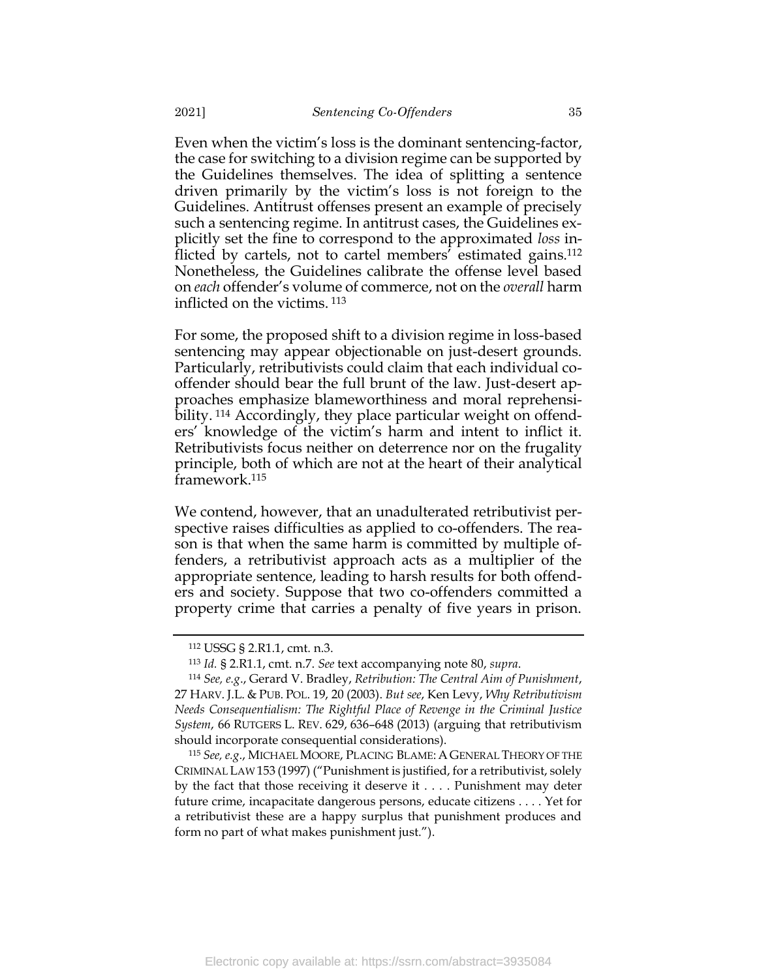Even when the victim's loss is the dominant sentencing-factor, the case for switching to a division regime can be supported by the Guidelines themselves. The idea of splitting a sentence driven primarily by the victim's loss is not foreign to the Guidelines. Antitrust offenses present an example of precisely such a sentencing regime. In antitrust cases, the Guidelines explicitly set the fine to correspond to the approximated *loss* inflicted by cartels, not to cartel members' estimated gains.<sup>112</sup> Nonetheless, the Guidelines calibrate the offense level based on *each* offender's volume of commerce, not on the *overall* harm inflicted on the victims. <sup>113</sup>

For some, the proposed shift to a division regime in loss-based sentencing may appear objectionable on just-desert grounds. Particularly, retributivists could claim that each individual cooffender should bear the full brunt of the law. Just-desert approaches emphasize blameworthiness and moral reprehensibility. <sup>114</sup> Accordingly, they place particular weight on offenders' knowledge of the victim's harm and intent to inflict it. Retributivists focus neither on deterrence nor on the frugality principle, both of which are not at the heart of their analytical framework. 115

We contend, however, that an unadulterated retributivist perspective raises difficulties as applied to co-offenders. The reason is that when the same harm is committed by multiple offenders, a retributivist approach acts as a multiplier of the appropriate sentence, leading to harsh results for both offenders and society. Suppose that two co-offenders committed a property crime that carries a penalty of five years in prison.

<sup>112</sup> USSG § 2.R1.1, cmt. n.3.

<sup>113</sup> *Id.* § 2.R1.1, cmt. n.7. *See* text accompanying note [80,](#page-18-1) *supra*.

<sup>114</sup> *See, e.g*., Gerard V. Bradley, *Retribution: The Central Aim of Punishment*, 27 HARV. J.L. & PUB. POL. 19, 20 (2003). *But see*, Ken Levy, *Why Retributivism Needs Consequentialism: The Rightful Place of Revenge in the Criminal Justice System*, 66 RUTGERS L. REV. 629, 636–648 (2013) (arguing that retributivism should incorporate consequential considerations).

<sup>115</sup> *See, e.g*., MICHAEL MOORE, PLACING BLAME: A GENERAL THEORY OF THE CRIMINAL LAW 153 (1997) ("Punishment is justified, for a retributivist, solely by the fact that those receiving it deserve it . . . . Punishment may deter future crime, incapacitate dangerous persons, educate citizens . . . . Yet for a retributivist these are a happy surplus that punishment produces and form no part of what makes punishment just.").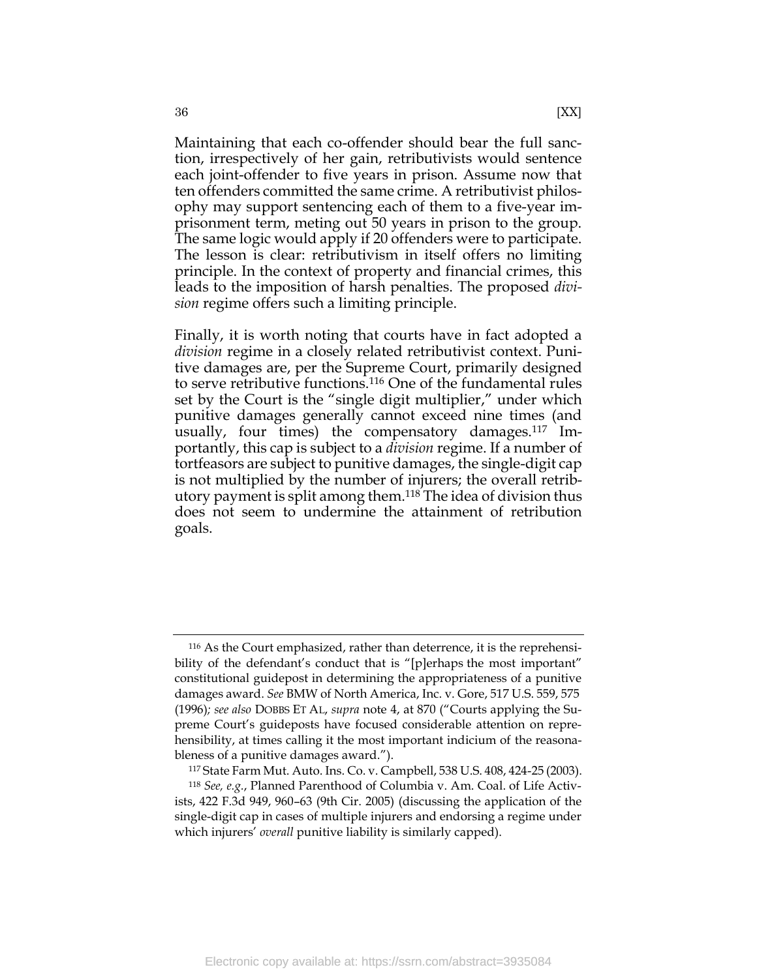Maintaining that each co-offender should bear the full sanction, irrespectively of her gain, retributivists would sentence each joint-offender to five years in prison. Assume now that ten offenders committed the same crime. A retributivist philosophy may support sentencing each of them to a five-year imprisonment term, meting out 50 years in prison to the group. The same logic would apply if 20 offenders were to participate. The lesson is clear: retributivism in itself offers no limiting principle. In the context of property and financial crimes, this leads to the imposition of harsh penalties. The proposed *division* regime offers such a limiting principle.

Finally, it is worth noting that courts have in fact adopted a *division* regime in a closely related retributivist context. Punitive damages are, per the Supreme Court, primarily designed to serve retributive functions.<sup>116</sup> One of the fundamental rules set by the Court is the "single digit multiplier," under which punitive damages generally cannot exceed nine times (and usually, four times) the compensatory damages.<sup>117</sup> Importantly, this cap is subject to a *division* regime. If a number of tortfeasors are subject to punitive damages, the single-digit cap is not multiplied by the number of injurers; the overall retributory payment is split among them.<sup>118</sup> The idea of division thus does not seem to undermine the attainment of retribution goals.

<sup>116</sup> As the Court emphasized, rather than deterrence, it is the reprehensibility of the defendant's conduct that is "[p]erhaps the most important" constitutional guidepost in determining the appropriateness of a punitive damages award. *See* BMW of North America, Inc. v. Gore, 517 U.S. 559, 575 (1996)*; see also* DOBBS ET AL, *supra* note [4,](#page-3-0) at 870 ("Courts applying the Supreme Court's guideposts have focused considerable attention on reprehensibility, at times calling it the most important indicium of the reasonableness of a punitive damages award.").

<sup>117</sup> State Farm Mut. Auto. Ins. Co. v. Campbell, 538 U.S. 408, 424-25 (2003).

<sup>118</sup> *See, e.g.*, Planned Parenthood of Columbia v. Am. Coal. of Life Activists, 422 F.3d 949, 960–63 (9th Cir. 2005) (discussing the application of the single-digit cap in cases of multiple injurers and endorsing a regime under which injurers' *overall* punitive liability is similarly capped).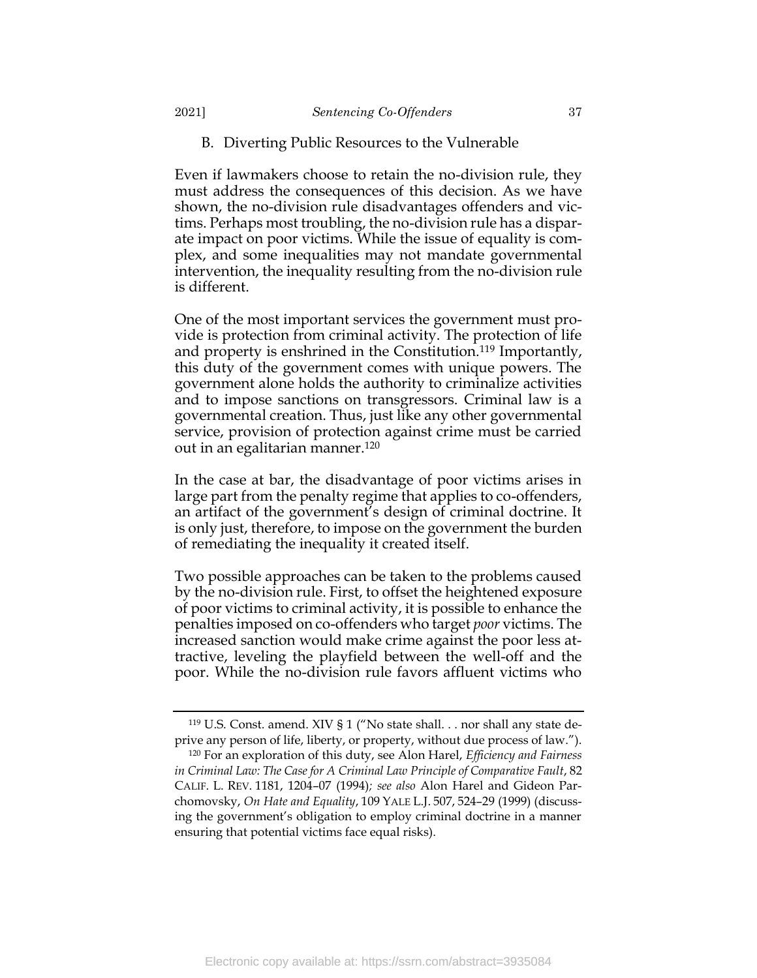### <span id="page-37-0"></span>B. Diverting Public Resources to the Vulnerable

Even if lawmakers choose to retain the no-division rule, they must address the consequences of this decision. As we have shown, the no-division rule disadvantages offenders and victims. Perhaps most troubling, the no-division rule has a disparate impact on poor victims. While the issue of equality is complex, and some inequalities may not mandate governmental intervention, the inequality resulting from the no-division rule is different.

One of the most important services the government must provide is protection from criminal activity. The protection of life and property is enshrined in the Constitution.<sup>119</sup> Importantly, this duty of the government comes with unique powers. The government alone holds the authority to criminalize activities and to impose sanctions on transgressors. Criminal law is a governmental creation. Thus, just like any other governmental service, provision of protection against crime must be carried out in an egalitarian manner.<sup>120</sup>

In the case at bar, the disadvantage of poor victims arises in large part from the penalty regime that applies to co-offenders, an artifact of the government's design of criminal doctrine. It is only just, therefore, to impose on the government the burden of remediating the inequality it created itself.

Two possible approaches can be taken to the problems caused by the no-division rule. First, to offset the heightened exposure of poor victims to criminal activity, it is possible to enhance the penalties imposed on co-offenders who target *poor* victims. The increased sanction would make crime against the poor less attractive, leveling the playfield between the well-off and the poor. While the no-division rule favors affluent victims who

<sup>119</sup> U.S. Const. amend. XIV § 1 ("No state shall. . . nor shall any state deprive any person of life, liberty, or property, without due process of law.").

<sup>120</sup> For an exploration of this duty, see Alon Harel, *Efficiency and Fairness*  in Criminal Law: The Case for A Criminal Law Principle of Comparative Fault, 82 CALIF. L. REV. 1181, 1204–07 (1994)*; see also* Alon Harel and Gideon Parchomovsky, *On Hate and Equality*, 109 YALE L.J. 507, 524–29 (1999) (discussing the government's obligation to employ criminal doctrine in a manner ensuring that potential victims face equal risks).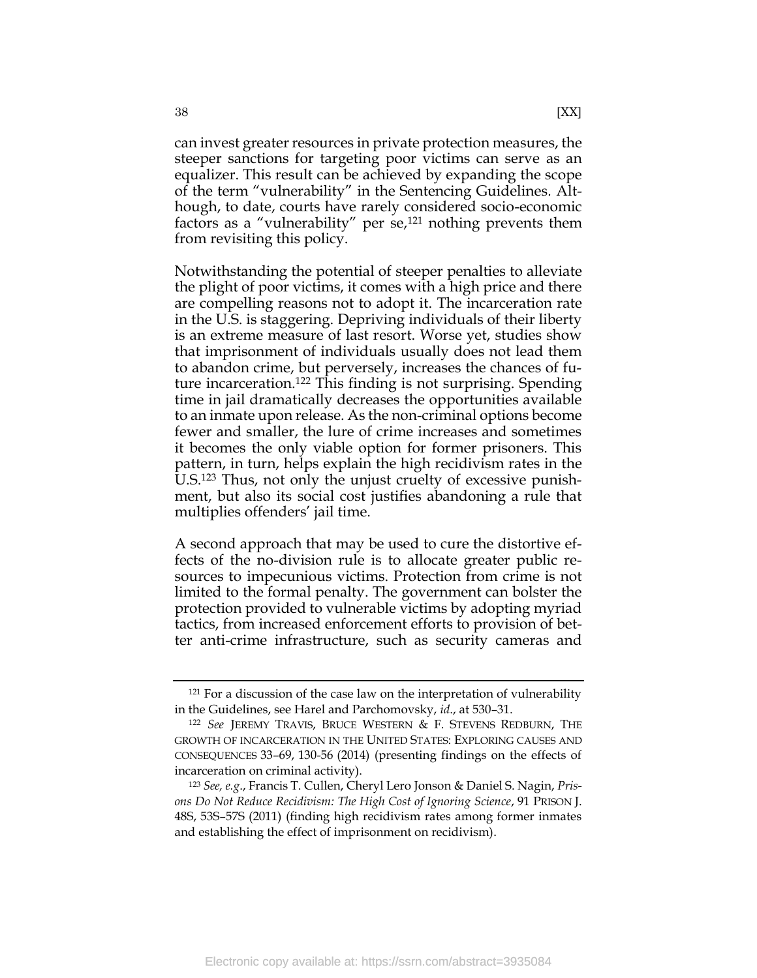can invest greater resources in private protection measures, the steeper sanctions for targeting poor victims can serve as an equalizer. This result can be achieved by expanding the scope of the term "vulnerability" in the Sentencing Guidelines*.* Although, to date, courts have rarely considered socio-economic factors as a "vulnerability" per se, $121$  nothing prevents them from revisiting this policy.

Notwithstanding the potential of steeper penalties to alleviate the plight of poor victims, it comes with a high price and there are compelling reasons not to adopt it. The incarceration rate in the U.S. is staggering. Depriving individuals of their liberty is an extreme measure of last resort. Worse yet, studies show that imprisonment of individuals usually does not lead them to abandon crime, but perversely, increases the chances of future incarceration.<sup>122</sup> This finding is not surprising. Spending time in jail dramatically decreases the opportunities available to an inmate upon release. As the non-criminal options become fewer and smaller, the lure of crime increases and sometimes it becomes the only viable option for former prisoners. This pattern, in turn, helps explain the high recidivism rates in the U.S.<sup>123</sup> Thus, not only the unjust cruelty of excessive punishment, but also its social cost justifies abandoning a rule that multiplies offenders' jail time.

A second approach that may be used to cure the distortive effects of the no-division rule is to allocate greater public resources to impecunious victims. Protection from crime is not limited to the formal penalty. The government can bolster the protection provided to vulnerable victims by adopting myriad tactics, from increased enforcement efforts to provision of better anti-crime infrastructure, such as security cameras and

<sup>121</sup> For a discussion of the case law on the interpretation of vulnerability in the Guidelines, see Harel and Parchomovsky, *id*., at 530–31.

<sup>122</sup> *See* JEREMY TRAVIS, BRUCE WESTERN & F. STEVENS REDBURN, THE GROWTH OF INCARCERATION IN THE UNITED STATES: EXPLORING CAUSES AND CONSEQUENCES 33–69, 130-56 (2014) (presenting findings on the effects of incarceration on criminal activity).

<sup>123</sup> *See, e.g*., Francis T. Cullen, Cheryl Lero Jonson & Daniel S. Nagin, *Prisons Do Not Reduce Recidivism: The High Cost of Ignoring Science*, 91 PRISON J. 48S, 53S–57S (2011) (finding high recidivism rates among former inmates and establishing the effect of imprisonment on recidivism).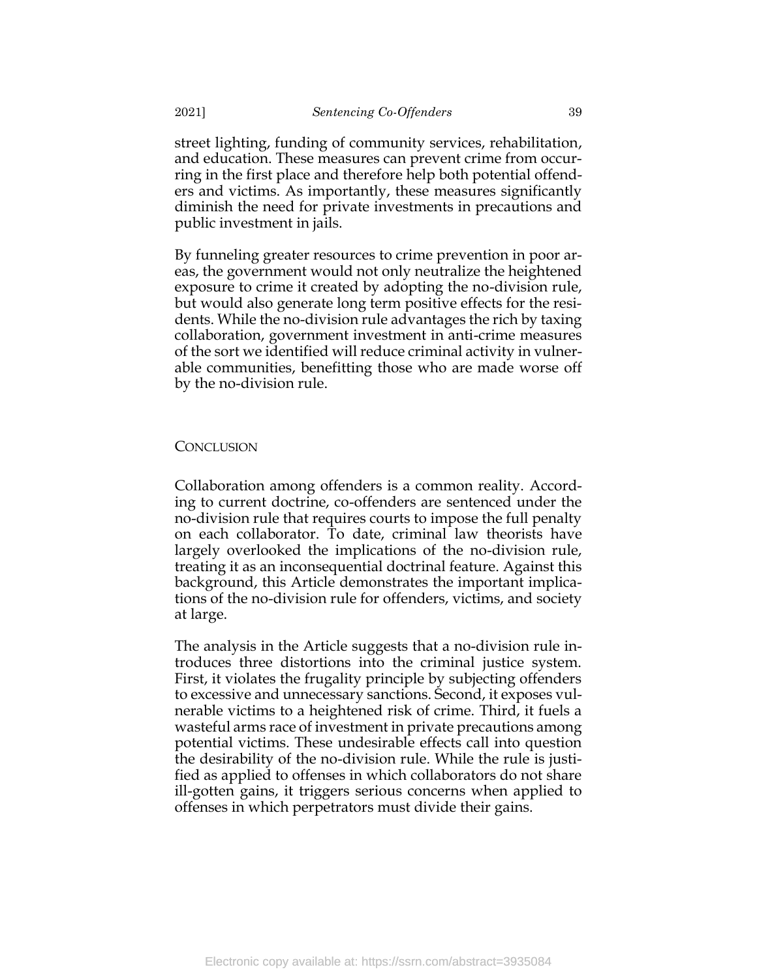street lighting, funding of community services, rehabilitation, and education. These measures can prevent crime from occurring in the first place and therefore help both potential offenders and victims. As importantly, these measures significantly diminish the need for private investments in precautions and public investment in jails.

By funneling greater resources to crime prevention in poor areas, the government would not only neutralize the heightened exposure to crime it created by adopting the no-division rule, but would also generate long term positive effects for the residents. While the no-division rule advantages the rich by taxing collaboration, government investment in anti-crime measures of the sort we identified will reduce criminal activity in vulnerable communities, benefitting those who are made worse off by the no-division rule.

# <span id="page-39-0"></span>**CONCLUSION**

Collaboration among offenders is a common reality. According to current doctrine, co-offenders are sentenced under the no-division rule that requires courts to impose the full penalty on each collaborator. To date, criminal law theorists have largely overlooked the implications of the no-division rule, treating it as an inconsequential doctrinal feature. Against this background, this Article demonstrates the important implications of the no-division rule for offenders, victims, and society at large.

The analysis in the Article suggests that a no-division rule introduces three distortions into the criminal justice system. First, it violates the frugality principle by subjecting offenders to excessive and unnecessary sanctions. Second, it exposes vulnerable victims to a heightened risk of crime. Third, it fuels a wasteful arms race of investment in private precautions among potential victims. These undesirable effects call into question the desirability of the no-division rule. While the rule is justified as applied to offenses in which collaborators do not share ill-gotten gains, it triggers serious concerns when applied to offenses in which perpetrators must divide their gains.